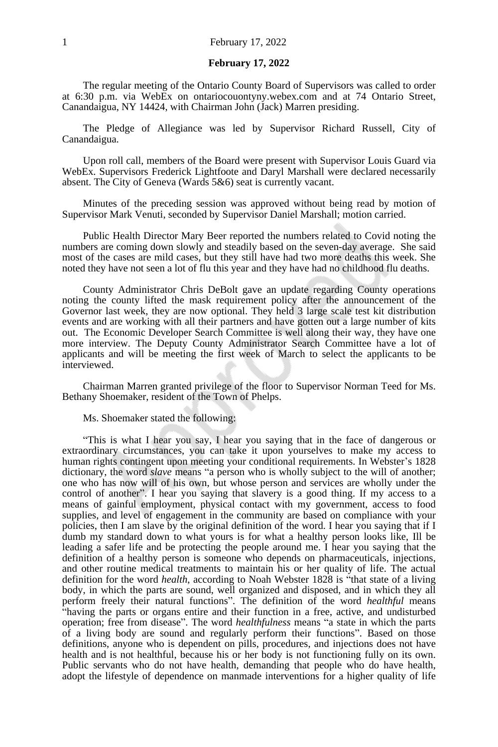#### **February 17, 2022**

The regular meeting of the Ontario County Board of Supervisors was called to order at 6:30 p.m. via WebEx on ontariocouontyny.webex.com and at 74 Ontario Street, Canandaigua, NY 14424, with Chairman John (Jack) Marren presiding.

The Pledge of Allegiance was led by Supervisor Richard Russell, City of Canandaigua.

Upon roll call, members of the Board were present with Supervisor Louis Guard via WebEx. Supervisors Frederick Lightfoote and Daryl Marshall were declared necessarily absent. The City of Geneva (Wards 5&6) seat is currently vacant.

Minutes of the preceding session was approved without being read by motion of Supervisor Mark Venuti, seconded by Supervisor Daniel Marshall; motion carried.

Public Health Director Mary Beer reported the numbers related to Covid noting the numbers are coming down slowly and steadily based on the seven-day average. She said most of the cases are mild cases, but they still have had two more deaths this week. She noted they have not seen a lot of flu this year and they have had no childhood flu deaths.

County Administrator Chris DeBolt gave an update regarding County operations noting the county lifted the mask requirement policy after the announcement of the Governor last week, they are now optional. They held 3 large scale test kit distribution events and are working with all their partners and have gotten out a large number of kits out. The Economic Developer Search Committee is well along their way, they have one more interview. The Deputy County Administrator Search Committee have a lot of applicants and will be meeting the first week of March to select the applicants to be interviewed.

Chairman Marren granted privilege of the floor to Supervisor Norman Teed for Ms. Bethany Shoemaker, resident of the Town of Phelps.

Ms. Shoemaker stated the following:

"This is what I hear you say, I hear you saying that in the face of dangerous or extraordinary circumstances, you can take it upon yourselves to make my access to human rights contingent upon meeting your conditional requirements. In Webster's 1828 dictionary, the word *slave* means "a person who is wholly subject to the will of another; one who has now will of his own, but whose person and services are wholly under the control of another". I hear you saying that slavery is a good thing. If my access to a means of gainful employment, physical contact with my government, access to food supplies, and level of engagement in the community are based on compliance with your policies, then I am slave by the original definition of the word. I hear you saying that if I dumb my standard down to what yours is for what a healthy person looks like, Ill be leading a safer life and be protecting the people around me. I hear you saying that the definition of a healthy person is someone who depends on pharmaceuticals, injections, and other routine medical treatments to maintain his or her quality of life. The actual definition for the word *health*, according to Noah Webster 1828 is "that state of a living body, in which the parts are sound, well organized and disposed, and in which they all perform freely their natural functions". The definition of the word *healthful* means "having the parts or organs entire and their function in a free, active, and undisturbed operation; free from disease". The word *healthfulness* means "a state in which the parts of a living body are sound and regularly perform their functions". Based on those definitions, anyone who is dependent on pills, procedures, and injections does not have health and is not healthful, because his or her body is not functioning fully on its own. Public servants who do not have health, demanding that people who do have health, adopt the lifestyle of dependence on manmade interventions for a higher quality of life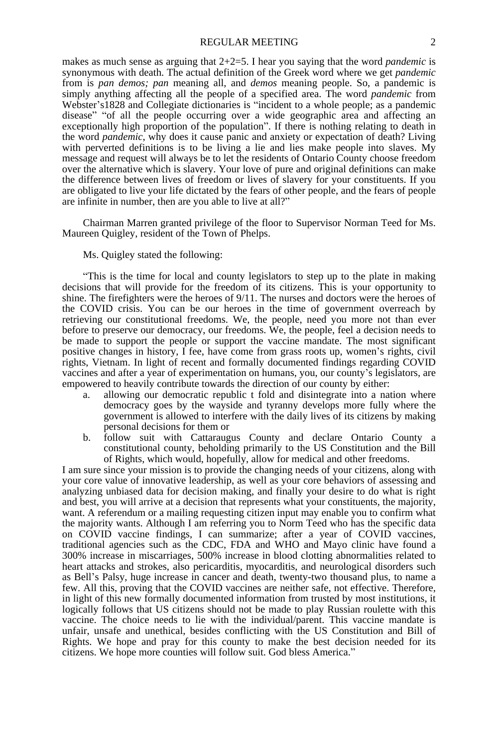#### REGULAR MEETING 2

makes as much sense as arguing that 2+2=5. I hear you saying that the word *pandemic* is synonymous with death. The actual definition of the Greek word where we get *pandemic* from is *pan demos; pan* meaning all, and *demos* meaning people. So, a pandemic is simply anything affecting all the people of a specified area. The word *pandemic* from Webster's1828 and Collegiate dictionaries is "incident to a whole people; as a pandemic disease" "of all the people occurring over a wide geographic area and affecting an exceptionally high proportion of the population". If there is nothing relating to death in the word *pandemic*, why does it cause panic and anxiety or expectation of death? Living with perverted definitions is to be living a lie and lies make people into slaves. My message and request will always be to let the residents of Ontario County choose freedom over the alternative which is slavery. Your love of pure and original definitions can make the difference between lives of freedom or lives of slavery for your constituents. If you are obligated to live your life dictated by the fears of other people, and the fears of people are infinite in number, then are you able to live at all?"

Chairman Marren granted privilege of the floor to Supervisor Norman Teed for Ms. Maureen Quigley, resident of the Town of Phelps.

#### Ms. Quigley stated the following:

"This is the time for local and county legislators to step up to the plate in making decisions that will provide for the freedom of its citizens. This is your opportunity to shine. The firefighters were the heroes of 9/11. The nurses and doctors were the heroes of the COVID crisis. You can be our heroes in the time of government overreach by retrieving our constitutional freedoms. We, the people, need you more not than ever before to preserve our democracy, our freedoms. We, the people, feel a decision needs to be made to support the people or support the vaccine mandate. The most significant positive changes in history, I fee, have come from grass roots up, women's rights, civil rights, Vietnam. In light of recent and formally documented findings regarding COVID vaccines and after a year of experimentation on humans, you, our county's legislators, are empowered to heavily contribute towards the direction of our county by either:

- a. allowing our democratic republic t fold and disintegrate into a nation where democracy goes by the wayside and tyranny develops more fully where the government is allowed to interfere with the daily lives of its citizens by making personal decisions for them or
- b. follow suit with Cattaraugus County and declare Ontario County a constitutional county, beholding primarily to the US Constitution and the Bill of Rights, which would, hopefully, allow for medical and other freedoms.

I am sure since your mission is to provide the changing needs of your citizens, along with your core value of innovative leadership, as well as your core behaviors of assessing and analyzing unbiased data for decision making, and finally your desire to do what is right and best, you will arrive at a decision that represents what your constituents, the majority, want. A referendum or a mailing requesting citizen input may enable you to confirm what the majority wants. Although I am referring you to Norm Teed who has the specific data on COVID vaccine findings, I can summarize; after a year of COVID vaccines, traditional agencies such as the CDC, FDA and WHO and Mayo clinic have found a 300% increase in miscarriages, 500% increase in blood clotting abnormalities related to heart attacks and strokes, also pericarditis, myocarditis, and neurological disorders such as Bell's Palsy, huge increase in cancer and death, twenty-two thousand plus, to name a few. All this, proving that the COVID vaccines are neither safe, not effective. Therefore, in light of this new formally documented information from trusted by most institutions, it logically follows that US citizens should not be made to play Russian roulette with this vaccine. The choice needs to lie with the individual/parent. This vaccine mandate is unfair, unsafe and unethical, besides conflicting with the US Constitution and Bill of Rights. We hope and pray for this county to make the best decision needed for its citizens. We hope more counties will follow suit. God bless America."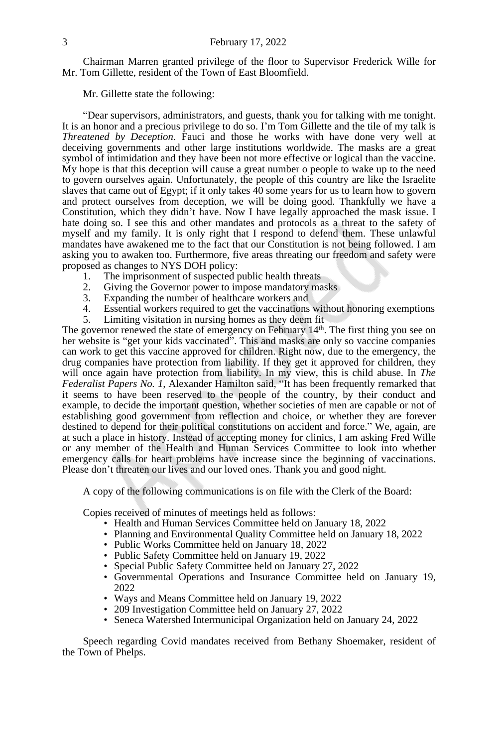Chairman Marren granted privilege of the floor to Supervisor Frederick Wille for Mr. Tom Gillette, resident of the Town of East Bloomfield.

Mr. Gillette state the following:

"Dear supervisors, administrators, and guests, thank you for talking with me tonight. It is an honor and a precious privilege to do so. I'm Tom Gillette and the tile of my talk is *Threatened by Deception.* Fauci and those he works with have done very well at deceiving governments and other large institutions worldwide. The masks are a great symbol of intimidation and they have been not more effective or logical than the vaccine. My hope is that this deception will cause a great number o people to wake up to the need to govern ourselves again. Unfortunately, the people of this country are like the Israelite slaves that came out of Egypt; if it only takes 40 some years for us to learn how to govern and protect ourselves from deception, we will be doing good. Thankfully we have a Constitution, which they didn't have. Now I have legally approached the mask issue. I hate doing so. I see this and other mandates and protocols as a threat to the safety of myself and my family. It is only right that I respond to defend them. These unlawful mandates have awakened me to the fact that our Constitution is not being followed. I am asking you to awaken too. Furthermore, five areas threating our freedom and safety were proposed as changes to NYS DOH policy:

- 1. The imprisonment of suspected public health threats<br>2. Giving the Governor power to impose mandatory may
- Giving the Governor power to impose mandatory masks
- 3. Expanding the number of healthcare workers and 4. Essential workers required to get the vaccinations
- 4. Essential workers required to get the vaccinations without honoring exemptions
- 5. Limiting visitation in nursing homes as they deem fit

The governor renewed the state of emergency on February 14<sup>th</sup>. The first thing you see on her website is "get your kids vaccinated". This and masks are only so vaccine companies can work to get this vaccine approved for children. Right now, due to the emergency, the drug companies have protection from liability. If they get it approved for children, they will once again have protection from liability. In my view, this is child abuse. In *The Federalist Papers No. 1,* Alexander Hamilton said, "It has been frequently remarked that it seems to have been reserved to the people of the country, by their conduct and example, to decide the important question, whether societies of men are capable or not of establishing good government from reflection and choice, or whether they are forever destined to depend for their political constitutions on accident and force." We, again, are at such a place in history. Instead of accepting money for clinics, I am asking Fred Wille or any member of the Health and Human Services Committee to look into whether emergency calls for heart problems have increase since the beginning of vaccinations. Please don't threaten our lives and our loved ones. Thank you and good night.

A copy of the following communications is on file with the Clerk of the Board:

Copies received of minutes of meetings held as follows:

- Health and Human Services Committee held on January 18, 2022
- Planning and Environmental Quality Committee held on January 18, 2022
- Public Works Committee held on January 18, 2022
- Public Safety Committee held on January 19, 2022
- Special Public Safety Committee held on January 27, 2022
- Governmental Operations and Insurance Committee held on January 19, 2022
- Ways and Means Committee held on January 19, 2022
- 209 Investigation Committee held on January 27, 2022
- Seneca Watershed Intermunicipal Organization held on January 24, 2022

Speech regarding Covid mandates received from Bethany Shoemaker, resident of the Town of Phelps.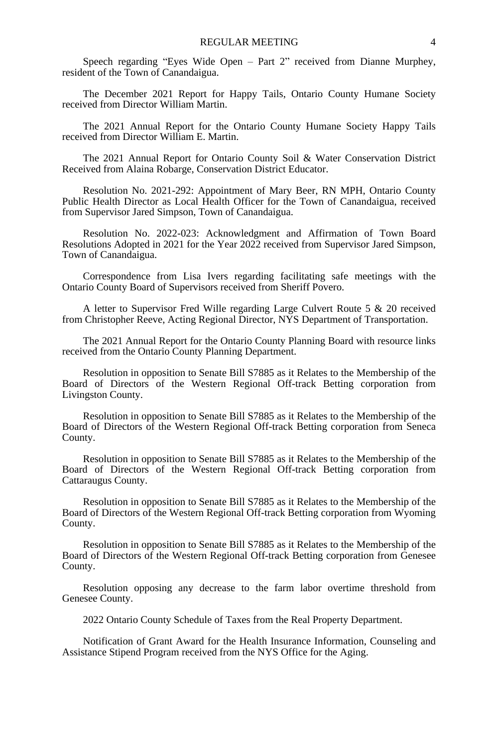Speech regarding "Eyes Wide Open – Part 2" received from Dianne Murphey, resident of the Town of Canandaigua.

The December 2021 Report for Happy Tails, Ontario County Humane Society received from Director William Martin.

The 2021 Annual Report for the Ontario County Humane Society Happy Tails received from Director William E. Martin.

The 2021 Annual Report for Ontario County Soil & Water Conservation District Received from Alaina Robarge, Conservation District Educator.

Resolution No. 2021-292: Appointment of Mary Beer, RN MPH, Ontario County Public Health Director as Local Health Officer for the Town of Canandaigua, received from Supervisor Jared Simpson, Town of Canandaigua.

Resolution No. 2022-023: Acknowledgment and Affirmation of Town Board Resolutions Adopted in 2021 for the Year 2022 received from Supervisor Jared Simpson, Town of Canandaigua.

Correspondence from Lisa Ivers regarding facilitating safe meetings with the Ontario County Board of Supervisors received from Sheriff Povero.

A letter to Supervisor Fred Wille regarding Large Culvert Route 5 & 20 received from Christopher Reeve, Acting Regional Director, NYS Department of Transportation.

The 2021 Annual Report for the Ontario County Planning Board with resource links received from the Ontario County Planning Department.

Resolution in opposition to Senate Bill S7885 as it Relates to the Membership of the Board of Directors of the Western Regional Off-track Betting corporation from Livingston County.

Resolution in opposition to Senate Bill S7885 as it Relates to the Membership of the Board of Directors of the Western Regional Off-track Betting corporation from Seneca County.

Resolution in opposition to Senate Bill S7885 as it Relates to the Membership of the Board of Directors of the Western Regional Off-track Betting corporation from Cattaraugus County.

Resolution in opposition to Senate Bill S7885 as it Relates to the Membership of the Board of Directors of the Western Regional Off-track Betting corporation from Wyoming County.

Resolution in opposition to Senate Bill S7885 as it Relates to the Membership of the Board of Directors of the Western Regional Off-track Betting corporation from Genesee County.

Resolution opposing any decrease to the farm labor overtime threshold from Genesee County.

2022 Ontario County Schedule of Taxes from the Real Property Department.

Notification of Grant Award for the Health Insurance Information, Counseling and Assistance Stipend Program received from the NYS Office for the Aging.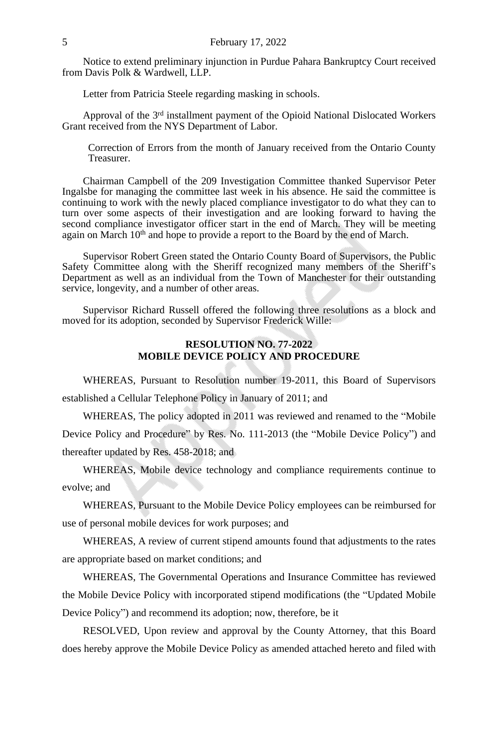Notice to extend preliminary injunction in Purdue Pahara Bankruptcy Court received from Davis Polk & Wardwell, LLP.

Letter from Patricia Steele regarding masking in schools.

Approval of the 3<sup>rd</sup> installment payment of the Opioid National Dislocated Workers Grant received from the NYS Department of Labor.

Correction of Errors from the month of January received from the Ontario County Treasurer.

Chairman Campbell of the 209 Investigation Committee thanked Supervisor Peter Ingalsbe for managing the committee last week in his absence. He said the committee is continuing to work with the newly placed compliance investigator to do what they can to turn over some aspects of their investigation and are looking forward to having the second compliance investigator officer start in the end of March. They will be meeting again on March 10<sup>th</sup> and hope to provide a report to the Board by the end of March.

Supervisor Robert Green stated the Ontario County Board of Supervisors, the Public Safety Committee along with the Sheriff recognized many members of the Sheriff's Department as well as an individual from the Town of Manchester for their outstanding service, longevity, and a number of other areas.

Supervisor Richard Russell offered the following three resolutions as a block and moved for its adoption, seconded by Supervisor Frederick Wille:

### **RESOLUTION NO. 77-2022 MOBILE DEVICE POLICY AND PROCEDURE**

WHEREAS, Pursuant to Resolution number 19-2011, this Board of Supervisors established a Cellular Telephone Policy in January of 2011; and

WHEREAS, The policy adopted in 2011 was reviewed and renamed to the "Mobile Device Policy and Procedure" by Res. No. 111-2013 (the "Mobile Device Policy") and thereafter updated by Res. 458-2018; and

WHEREAS, Mobile device technology and compliance requirements continue to evolve; and

WHEREAS, Pursuant to the Mobile Device Policy employees can be reimbursed for use of personal mobile devices for work purposes; and

WHEREAS, A review of current stipend amounts found that adjustments to the rates are appropriate based on market conditions; and

WHEREAS, The Governmental Operations and Insurance Committee has reviewed the Mobile Device Policy with incorporated stipend modifications (the "Updated Mobile Device Policy") and recommend its adoption; now, therefore, be it

RESOLVED, Upon review and approval by the County Attorney, that this Board does hereby approve the Mobile Device Policy as amended attached hereto and filed with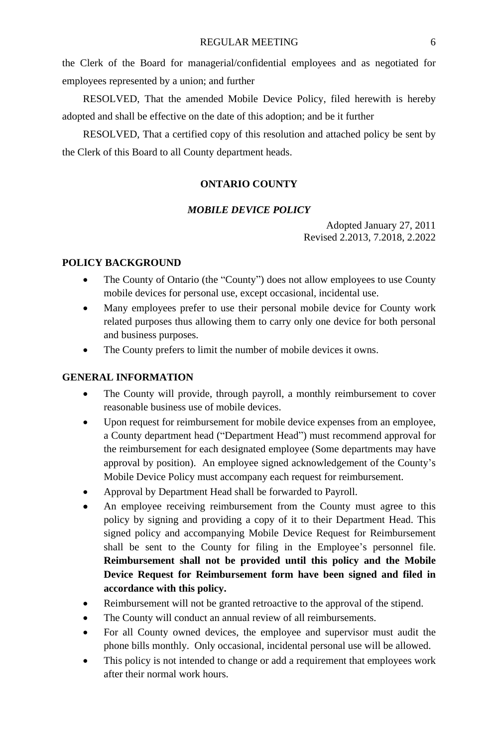the Clerk of the Board for managerial/confidential employees and as negotiated for employees represented by a union; and further

RESOLVED, That the amended Mobile Device Policy, filed herewith is hereby adopted and shall be effective on the date of this adoption; and be it further

RESOLVED, That a certified copy of this resolution and attached policy be sent by the Clerk of this Board to all County department heads.

### **ONTARIO COUNTY**

# *MOBILE DEVICE POLICY*

Adopted January 27, 2011 Revised 2.2013, 7.2018, 2.2022

# **POLICY BACKGROUND**

- The County of Ontario (the "County") does not allow employees to use County mobile devices for personal use, except occasional, incidental use.
- Many employees prefer to use their personal mobile device for County work related purposes thus allowing them to carry only one device for both personal and business purposes.
- The County prefers to limit the number of mobile devices it owns.

#### **GENERAL INFORMATION**

- The County will provide, through payroll, a monthly reimbursement to cover reasonable business use of mobile devices.
- Upon request for reimbursement for mobile device expenses from an employee, a County department head ("Department Head") must recommend approval for the reimbursement for each designated employee (Some departments may have approval by position). An employee signed acknowledgement of the County's Mobile Device Policy must accompany each request for reimbursement.
- Approval by Department Head shall be forwarded to Payroll.
- An employee receiving reimbursement from the County must agree to this policy by signing and providing a copy of it to their Department Head. This signed policy and accompanying Mobile Device Request for Reimbursement shall be sent to the County for filing in the Employee's personnel file. **Reimbursement shall not be provided until this policy and the Mobile Device Request for Reimbursement form have been signed and filed in accordance with this policy.**
- Reimbursement will not be granted retroactive to the approval of the stipend.
- The County will conduct an annual review of all reimbursements.
- For all County owned devices, the employee and supervisor must audit the phone bills monthly. Only occasional, incidental personal use will be allowed.
- This policy is not intended to change or add a requirement that employees work after their normal work hours.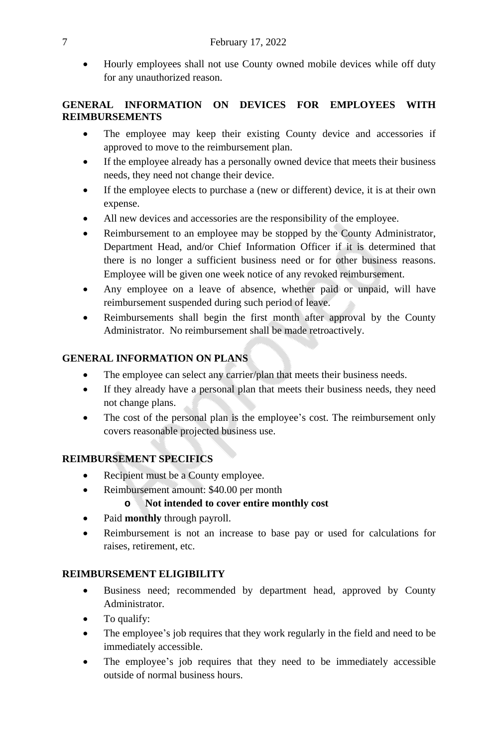Hourly employees shall not use County owned mobile devices while off duty for any unauthorized reason.

# **GENERAL INFORMATION ON DEVICES FOR EMPLOYEES WITH REIMBURSEMENTS**

- The employee may keep their existing County device and accessories if approved to move to the reimbursement plan.
- If the employee already has a personally owned device that meets their business needs, they need not change their device.
- If the employee elects to purchase a (new or different) device, it is at their own expense.
- All new devices and accessories are the responsibility of the employee.
- Reimbursement to an employee may be stopped by the County Administrator, Department Head, and/or Chief Information Officer if it is determined that there is no longer a sufficient business need or for other business reasons. Employee will be given one week notice of any revoked reimbursement.
- Any employee on a leave of absence, whether paid or unpaid, will have reimbursement suspended during such period of leave.
- Reimbursements shall begin the first month after approval by the County Administrator. No reimbursement shall be made retroactively.

# **GENERAL INFORMATION ON PLANS**

- The employee can select any carrier/plan that meets their business needs.
- If they already have a personal plan that meets their business needs, they need not change plans.
- The cost of the personal plan is the employee's cost. The reimbursement only covers reasonable projected business use.

# **REIMBURSEMENT SPECIFICS**

- Recipient must be a County employee.
- Reimbursement amount: \$40.00 per month

# **o Not intended to cover entire monthly cost**

- Paid **monthly** through payroll.
- Reimbursement is not an increase to base pay or used for calculations for raises, retirement, etc.

# **REIMBURSEMENT ELIGIBILITY**

- Business need; recommended by department head, approved by County Administrator.
- To qualify:
- The employee's job requires that they work regularly in the field and need to be immediately accessible.
- The employee's job requires that they need to be immediately accessible outside of normal business hours.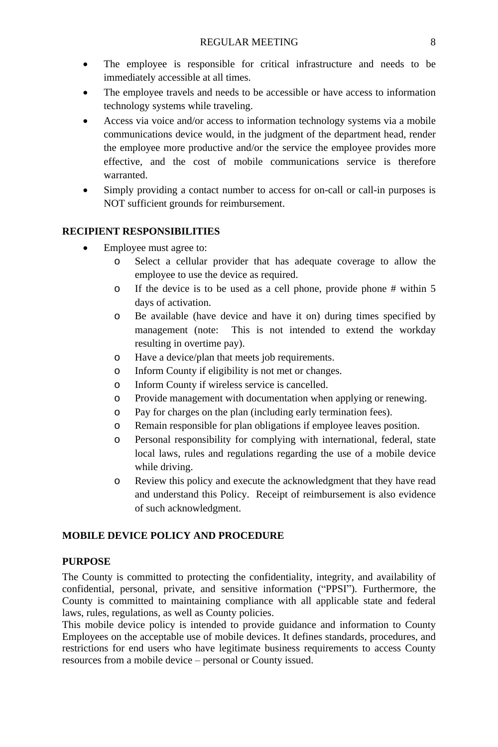- The employee is responsible for critical infrastructure and needs to be immediately accessible at all times.
- The employee travels and needs to be accessible or have access to information technology systems while traveling.
- Access via voice and/or access to information technology systems via a mobile communications device would, in the judgment of the department head, render the employee more productive and/or the service the employee provides more effective, and the cost of mobile communications service is therefore warranted.
- Simply providing a contact number to access for on-call or call-in purposes is NOT sufficient grounds for reimbursement.

# **RECIPIENT RESPONSIBILITIES**

- Employee must agree to:
	- o Select a cellular provider that has adequate coverage to allow the employee to use the device as required.
	- o If the device is to be used as a cell phone, provide phone # within 5 days of activation.
	- o Be available (have device and have it on) during times specified by management (note: This is not intended to extend the workday resulting in overtime pay).
	- o Have a device/plan that meets job requirements.
	- o Inform County if eligibility is not met or changes.
	- o Inform County if wireless service is cancelled.
	- o Provide management with documentation when applying or renewing.
	- o Pay for charges on the plan (including early termination fees).
	- o Remain responsible for plan obligations if employee leaves position.
	- o Personal responsibility for complying with international, federal, state local laws, rules and regulations regarding the use of a mobile device while driving.
	- o Review this policy and execute the acknowledgment that they have read and understand this Policy. Receipt of reimbursement is also evidence of such acknowledgment.

# **MOBILE DEVICE POLICY AND PROCEDURE**

# **PURPOSE**

The County is committed to protecting the confidentiality, integrity, and availability of confidential, personal, private, and sensitive information ("PPSI"). Furthermore, the County is committed to maintaining compliance with all applicable state and federal laws, rules, regulations, as well as County policies.

This mobile device policy is intended to provide guidance and information to County Employees on the acceptable use of mobile devices. It defines standards, procedures, and restrictions for end users who have legitimate business requirements to access County resources from a mobile device – personal or County issued.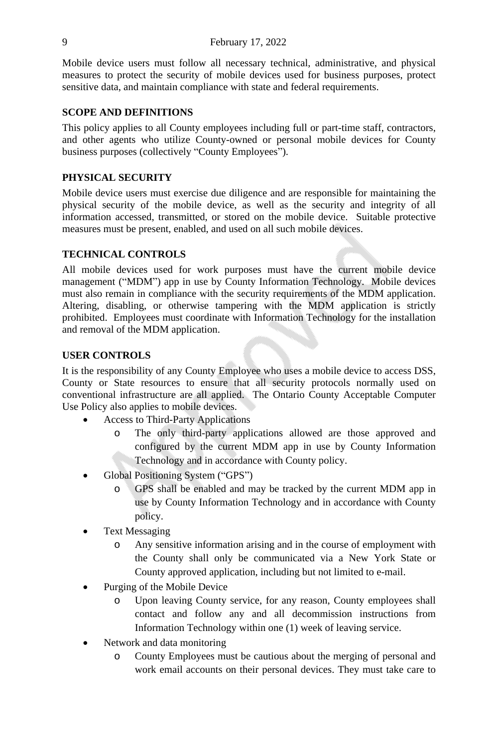Mobile device users must follow all necessary technical, administrative, and physical measures to protect the security of mobile devices used for business purposes, protect sensitive data, and maintain compliance with state and federal requirements.

#### **SCOPE AND DEFINITIONS**

This policy applies to all County employees including full or part-time staff, contractors, and other agents who utilize County-owned or personal mobile devices for County business purposes (collectively "County Employees").

### **PHYSICAL SECURITY**

Mobile device users must exercise due diligence and are responsible for maintaining the physical security of the mobile device, as well as the security and integrity of all information accessed, transmitted, or stored on the mobile device. Suitable protective measures must be present, enabled, and used on all such mobile devices.

# **TECHNICAL CONTROLS**

All mobile devices used for work purposes must have the current mobile device management ("MDM") app in use by County Information Technology. Mobile devices must also remain in compliance with the security requirements of the MDM application. Altering, disabling, or otherwise tampering with the MDM application is strictly prohibited. Employees must coordinate with Information Technology for the installation and removal of the MDM application.

# **USER CONTROLS**

It is the responsibility of any County Employee who uses a mobile device to access DSS, County or State resources to ensure that all security protocols normally used on conventional infrastructure are all applied. The Ontario County Acceptable Computer Use Policy also applies to mobile devices.

- Access to Third-Party Applications
	- o The only third-party applications allowed are those approved and configured by the current MDM app in use by County Information Technology and in accordance with County policy.
- Global Positioning System ("GPS")
	- o GPS shall be enabled and may be tracked by the current MDM app in use by County Information Technology and in accordance with County policy.
- Text Messaging
	- o Any sensitive information arising and in the course of employment with the County shall only be communicated via a New York State or County approved application, including but not limited to e-mail.
- Purging of the Mobile Device
	- o Upon leaving County service, for any reason, County employees shall contact and follow any and all decommission instructions from Information Technology within one (1) week of leaving service.
- Network and data monitoring
	- o County Employees must be cautious about the merging of personal and work email accounts on their personal devices. They must take care to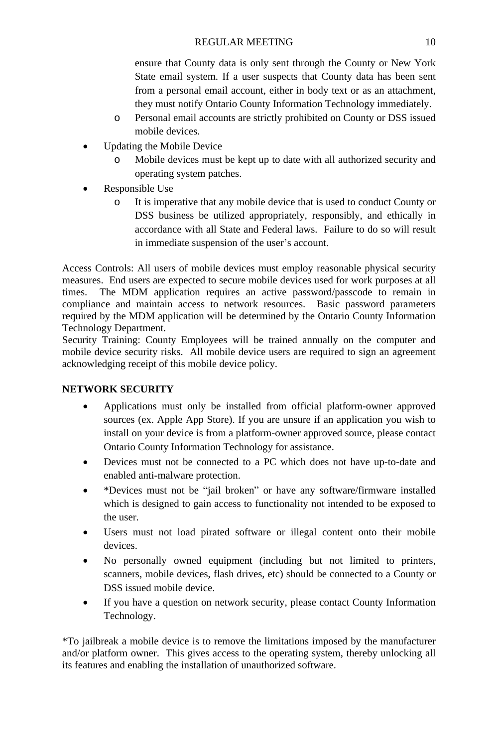ensure that County data is only sent through the County or New York State email system. If a user suspects that County data has been sent from a personal email account, either in body text or as an attachment, they must notify Ontario County Information Technology immediately.

- o Personal email accounts are strictly prohibited on County or DSS issued mobile devices.
- Updating the Mobile Device
	- o Mobile devices must be kept up to date with all authorized security and operating system patches.
- Responsible Use
	- o It is imperative that any mobile device that is used to conduct County or DSS business be utilized appropriately, responsibly, and ethically in accordance with all State and Federal laws. Failure to do so will result in immediate suspension of the user's account.

Access Controls: All users of mobile devices must employ reasonable physical security measures. End users are expected to secure mobile devices used for work purposes at all times. The MDM application requires an active password/passcode to remain in compliance and maintain access to network resources. Basic password parameters required by the MDM application will be determined by the Ontario County Information Technology Department.

Security Training: County Employees will be trained annually on the computer and mobile device security risks. All mobile device users are required to sign an agreement acknowledging receipt of this mobile device policy.

# **NETWORK SECURITY**

- Applications must only be installed from official platform-owner approved sources (ex. Apple App Store). If you are unsure if an application you wish to install on your device is from a platform-owner approved source, please contact Ontario County Information Technology for assistance.
- Devices must not be connected to a PC which does not have up-to-date and enabled anti-malware protection.
- \*Devices must not be "jail broken" or have any software/firmware installed which is designed to gain access to functionality not intended to be exposed to the user.
- Users must not load pirated software or illegal content onto their mobile devices.
- No personally owned equipment (including but not limited to printers, scanners, mobile devices, flash drives, etc) should be connected to a County or DSS issued mobile device.
- If you have a question on network security, please contact County Information Technology.

\*To jailbreak a mobile device is to remove the limitations imposed by the manufacturer and/or platform owner. This gives access to the operating system, thereby unlocking all its features and enabling the installation of unauthorized software.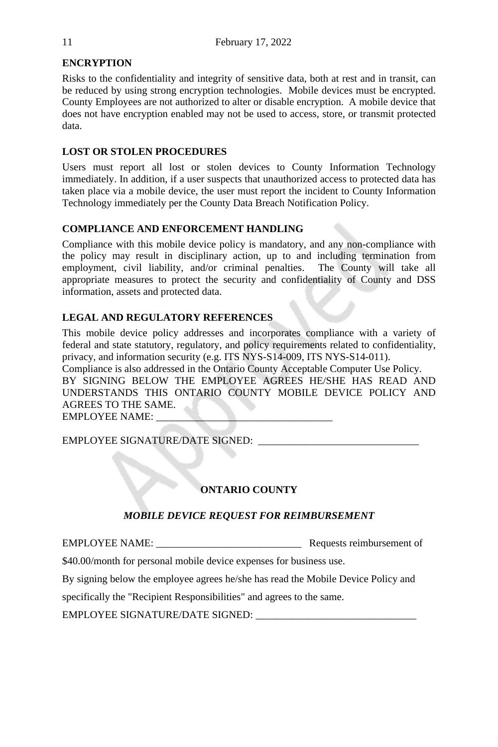# **ENCRYPTION**

Risks to the confidentiality and integrity of sensitive data, both at rest and in transit, can be reduced by using strong encryption technologies. Mobile devices must be encrypted. County Employees are not authorized to alter or disable encryption. A mobile device that does not have encryption enabled may not be used to access, store, or transmit protected data.

# **LOST OR STOLEN PROCEDURES**

Users must report all lost or stolen devices to County Information Technology immediately. In addition, if a user suspects that unauthorized access to protected data has taken place via a mobile device, the user must report the incident to County Information Technology immediately per the County Data Breach Notification Policy.

# **COMPLIANCE AND ENFORCEMENT HANDLING**

Compliance with this mobile device policy is mandatory, and any non-compliance with the policy may result in disciplinary action, up to and including termination from employment, civil liability, and/or criminal penalties. The County will take all appropriate measures to protect the security and confidentiality of County and DSS information, assets and protected data.

# **LEGAL AND REGULATORY REFERENCES**

This mobile device policy addresses and incorporates compliance with a variety of federal and state statutory, regulatory, and policy requirements related to confidentiality, privacy, and information security (e.g. ITS NYS-S14-009, ITS NYS-S14-011).

Compliance is also addressed in the Ontario County Acceptable Computer Use Policy. BY SIGNING BELOW THE EMPLOYEE AGREES HE/SHE HAS READ AND UNDERSTANDS THIS ONTARIO COUNTY MOBILE DEVICE POLICY AND AGREES TO THE SAME.

EMPLOYEE NAME:

EMPLOYEE SIGNATURE/DATE SIGNED:

# **ONTARIO COUNTY**

# *MOBILE DEVICE REQUEST FOR REIMBURSEMENT*

EMPLOYEE NAME: Requests reimbursement of

\$40.00/month for personal mobile device expenses for business use.

By signing below the employee agrees he/she has read the Mobile Device Policy and

specifically the "Recipient Responsibilities" and agrees to the same.

EMPLOYEE SIGNATURE/DATE SIGNED: \_\_\_\_\_\_\_\_\_\_\_\_\_\_\_\_\_\_\_\_\_\_\_\_\_\_\_\_\_\_\_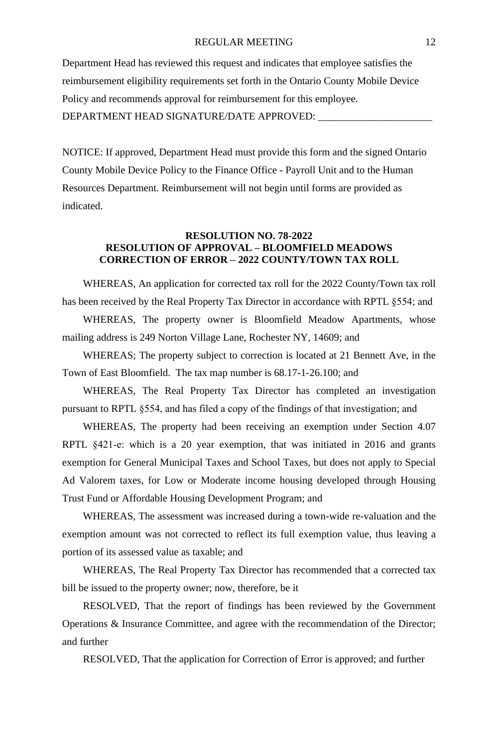#### REGULAR MEETING 12

Department Head has reviewed this request and indicates that employee satisfies the reimbursement eligibility requirements set forth in the Ontario County Mobile Device Policy and recommends approval for reimbursement for this employee. DEPARTMENT HEAD SIGNATURE/DATE APPROVED:

NOTICE: If approved, Department Head must provide this form and the signed Ontario County Mobile Device Policy to the Finance Office - Payroll Unit and to the Human Resources Department. Reimbursement will not begin until forms are provided as indicated.

#### **RESOLUTION NO. 78-2022 RESOLUTION OF APPROVAL – BLOOMFIELD MEADOWS CORRECTION OF ERROR – 2022 COUNTY/TOWN TAX ROLL**

WHEREAS, An application for corrected tax roll for the 2022 County/Town tax roll has been received by the Real Property Tax Director in accordance with RPTL §554; and

WHEREAS, The property owner is Bloomfield Meadow Apartments, whose mailing address is 249 Norton Village Lane, Rochester NY, 14609; and

WHEREAS; The property subject to correction is located at 21 Bennett Ave, in the Town of East Bloomfield. The tax map number is 68.17-1-26.100; and

WHEREAS, The Real Property Tax Director has completed an investigation pursuant to RPTL §554, and has filed a copy of the findings of that investigation; and

WHEREAS, The property had been receiving an exemption under Section 4.07 RPTL §421-e: which is a 20 year exemption, that was initiated in 2016 and grants exemption for General Municipal Taxes and School Taxes, but does not apply to Special Ad Valorem taxes, for Low or Moderate income housing developed through Housing Trust Fund or Affordable Housing Development Program; and

WHEREAS, The assessment was increased during a town-wide re-valuation and the exemption amount was not corrected to reflect its full exemption value, thus leaving a portion of its assessed value as taxable; and

WHEREAS, The Real Property Tax Director has recommended that a corrected tax bill be issued to the property owner; now, therefore, be it

RESOLVED, That the report of findings has been reviewed by the Government Operations & Insurance Committee, and agree with the recommendation of the Director; and further

RESOLVED, That the application for Correction of Error is approved; and further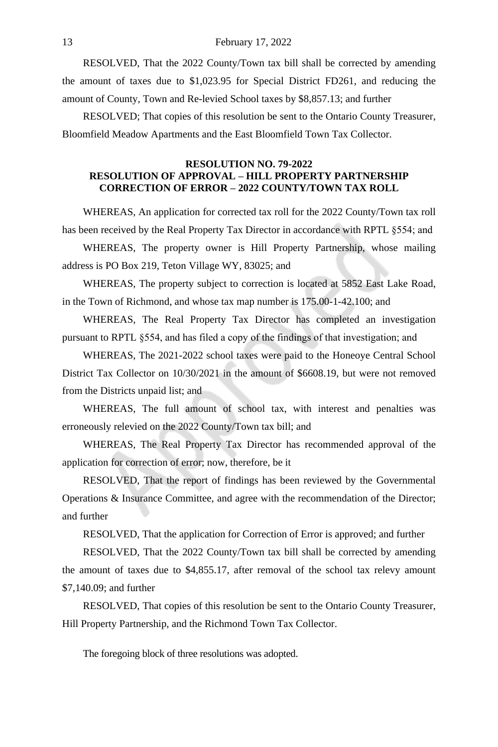#### 13 February 17, 2022

RESOLVED, That the 2022 County/Town tax bill shall be corrected by amending the amount of taxes due to \$1,023.95 for Special District FD261, and reducing the amount of County, Town and Re-levied School taxes by \$8,857.13; and further

RESOLVED; That copies of this resolution be sent to the Ontario County Treasurer, Bloomfield Meadow Apartments and the East Bloomfield Town Tax Collector.

### **RESOLUTION NO. 79-2022 RESOLUTION OF APPROVAL – HILL PROPERTY PARTNERSHIP CORRECTION OF ERROR – 2022 COUNTY/TOWN TAX ROLL**

WHEREAS, An application for corrected tax roll for the 2022 County/Town tax roll has been received by the Real Property Tax Director in accordance with RPTL §554; and

WHEREAS, The property owner is Hill Property Partnership, whose mailing address is PO Box 219, Teton Village WY, 83025; and

WHEREAS, The property subject to correction is located at 5852 East Lake Road, in the Town of Richmond, and whose tax map number is 175.00-1-42.100; and

WHEREAS, The Real Property Tax Director has completed an investigation pursuant to RPTL §554, and has filed a copy of the findings of that investigation; and

WHEREAS, The 2021-2022 school taxes were paid to the Honeoye Central School District Tax Collector on 10/30/2021 in the amount of \$6608.19, but were not removed from the Districts unpaid list; and

WHEREAS, The full amount of school tax, with interest and penalties was erroneously relevied on the 2022 County/Town tax bill; and

WHEREAS, The Real Property Tax Director has recommended approval of the application for correction of error; now, therefore, be it

RESOLVED, That the report of findings has been reviewed by the Governmental Operations & Insurance Committee, and agree with the recommendation of the Director; and further

RESOLVED, That the application for Correction of Error is approved; and further

RESOLVED, That the 2022 County/Town tax bill shall be corrected by amending the amount of taxes due to \$4,855.17, after removal of the school tax relevy amount \$7,140.09; and further

RESOLVED, That copies of this resolution be sent to the Ontario County Treasurer, Hill Property Partnership, and the Richmond Town Tax Collector.

The foregoing block of three resolutions was adopted.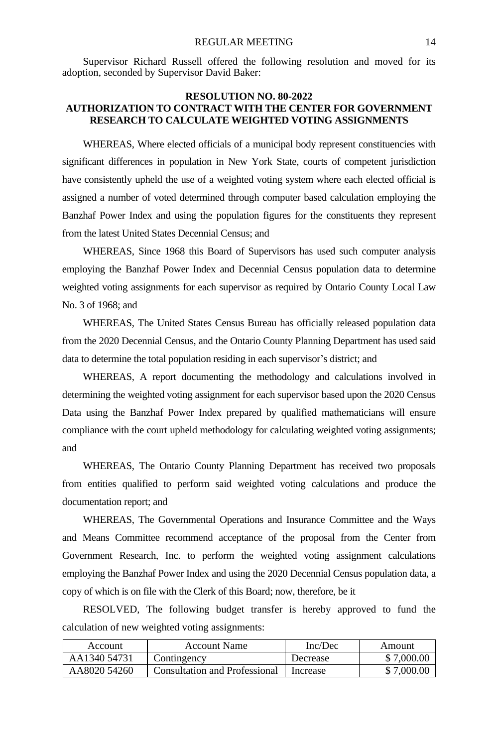Supervisor Richard Russell offered the following resolution and moved for its adoption, seconded by Supervisor David Baker:

# **RESOLUTION NO. 80-2022 AUTHORIZATION TO CONTRACT WITH THE CENTER FOR GOVERNMENT RESEARCH TO CALCULATE WEIGHTED VOTING ASSIGNMENTS**

WHEREAS, Where elected officials of a municipal body represent constituencies with significant differences in population in New York State, courts of competent jurisdiction have consistently upheld the use of a weighted voting system where each elected official is assigned a number of voted determined through computer based calculation employing the Banzhaf Power Index and using the population figures for the constituents they represent from the latest United States Decennial Census; and

WHEREAS, Since 1968 this Board of Supervisors has used such computer analysis employing the Banzhaf Power Index and Decennial Census population data to determine weighted voting assignments for each supervisor as required by Ontario County Local Law No. 3 of 1968; and

WHEREAS, The United States Census Bureau has officially released population data from the 2020 Decennial Census, and the Ontario County Planning Department has used said data to determine the total population residing in each supervisor's district; and

WHEREAS, A report documenting the methodology and calculations involved in determining the weighted voting assignment for each supervisor based upon the 2020 Census Data using the Banzhaf Power Index prepared by qualified mathematicians will ensure compliance with the court upheld methodology for calculating weighted voting assignments; and

WHEREAS, The Ontario County Planning Department has received two proposals from entities qualified to perform said weighted voting calculations and produce the documentation report; and

WHEREAS, The Governmental Operations and Insurance Committee and the Ways and Means Committee recommend acceptance of the proposal from the Center from Government Research, Inc. to perform the weighted voting assignment calculations employing the Banzhaf Power Index and using the 2020 Decennial Census population data, a copy of which is on file with the Clerk of this Board; now, therefore, be it

RESOLVED, The following budget transfer is hereby approved to fund the calculation of new weighted voting assignments:

| <b>Account</b> | Account Name                  | Inc/Dec  | Amount     |
|----------------|-------------------------------|----------|------------|
| AA1340 54731   | Contingency                   | Decrease | \$7,000.00 |
| AA8020 54260   | Consultation and Professional | Increase | \$7,000.00 |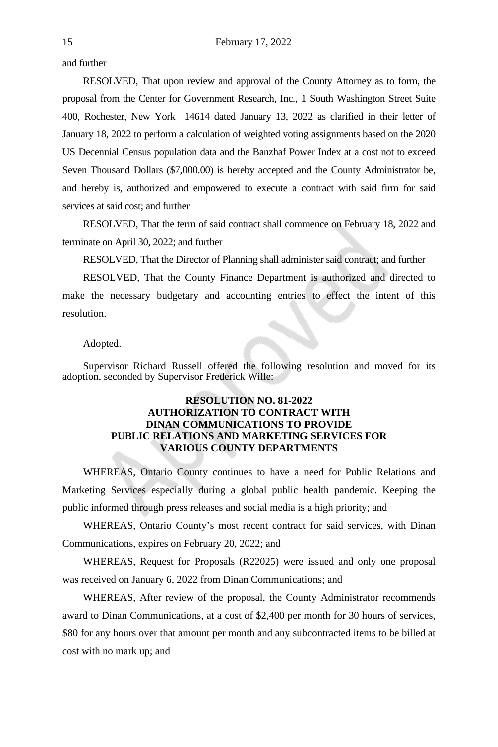and further

RESOLVED, That upon review and approval of the County Attorney as to form, the proposal from the Center for Government Research, Inc., 1 South Washington Street Suite 400, Rochester, New York 14614 dated January 13, 2022 as clarified in their letter of January 18, 2022 to perform a calculation of weighted voting assignments based on the 2020 US Decennial Census population data and the Banzhaf Power Index at a cost not to exceed Seven Thousand Dollars (\$7,000.00) is hereby accepted and the County Administrator be, and hereby is, authorized and empowered to execute a contract with said firm for said services at said cost; and further

RESOLVED, That the term of said contract shall commence on February 18, 2022 and terminate on April 30, 2022; and further

RESOLVED, That the Director of Planning shall administer said contract; and further

RESOLVED, That the County Finance Department is authorized and directed to make the necessary budgetary and accounting entries to effect the intent of this resolution.

#### Adopted.

Supervisor Richard Russell offered the following resolution and moved for its adoption, seconded by Supervisor Frederick Wille:

# **RESOLUTION NO. 81-2022 AUTHORIZATION TO CONTRACT WITH DINAN COMMUNICATIONS TO PROVIDE PUBLIC RELATIONS AND MARKETING SERVICES FOR VARIOUS COUNTY DEPARTMENTS**

WHEREAS, Ontario County continues to have a need for Public Relations and Marketing Services especially during a global public health pandemic. Keeping the public informed through press releases and social media is a high priority; and

WHEREAS, Ontario County's most recent contract for said services, with Dinan Communications, expires on February 20, 2022; and

WHEREAS, Request for Proposals (R22025) were issued and only one proposal was received on January 6, 2022 from Dinan Communications; and

WHEREAS, After review of the proposal, the County Administrator recommends award to Dinan Communications, at a cost of \$2,400 per month for 30 hours of services, \$80 for any hours over that amount per month and any subcontracted items to be billed at cost with no mark up; and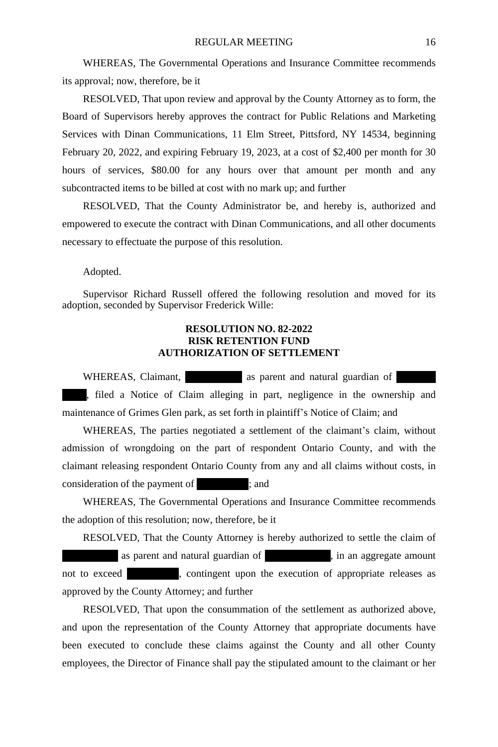WHEREAS, The Governmental Operations and Insurance Committee recommends its approval; now, therefore, be it

RESOLVED, That upon review and approval by the County Attorney as to form, the Board of Supervisors hereby approves the contract for Public Relations and Marketing Services with Dinan Communications, 11 Elm Street, Pittsford, NY 14534, beginning February 20, 2022, and expiring February 19, 2023, at a cost of \$2,400 per month for 30 hours of services, \$80.00 for any hours over that amount per month and any subcontracted items to be billed at cost with no mark up; and further

RESOLVED, That the County Administrator be, and hereby is, authorized and empowered to execute the contract with Dinan Communications, and all other documents necessary to effectuate the purpose of this resolution.

Adopted.

Supervisor Richard Russell offered the following resolution and moved for its adoption, seconded by Supervisor Frederick Wille:

# **RESOLUTION NO. 82-2022 RISK RETENTION FUND AUTHORIZATION OF SETTLEMENT**

WHEREAS, Claimant, The as parent and natural guardian of , filed a Notice of Claim alleging in part, negligence in the ownership and maintenance of Grimes Glen park, as set forth in plaintiff's Notice of Claim; and

WHEREAS, The parties negotiated a settlement of the claimant's claim, without admission of wrongdoing on the part of respondent Ontario County, and with the claimant releasing respondent Ontario County from any and all claims without costs, in consideration of the payment of  $\;$  ; and

WHEREAS, The Governmental Operations and Insurance Committee recommends the adoption of this resolution; now, therefore, be it

RESOLVED, That the County Attorney is hereby authorized to settle the claim of as parent and natural guardian of  $\mu$ , in an aggregate amount not to exceed  $\sim$ , contingent upon the execution of appropriate releases as approved by the County Attorney; and further

RESOLVED, That upon the consummation of the settlement as authorized above, and upon the representation of the County Attorney that appropriate documents have been executed to conclude these claims against the County and all other County employees, the Director of Finance shall pay the stipulated amount to the claimant or her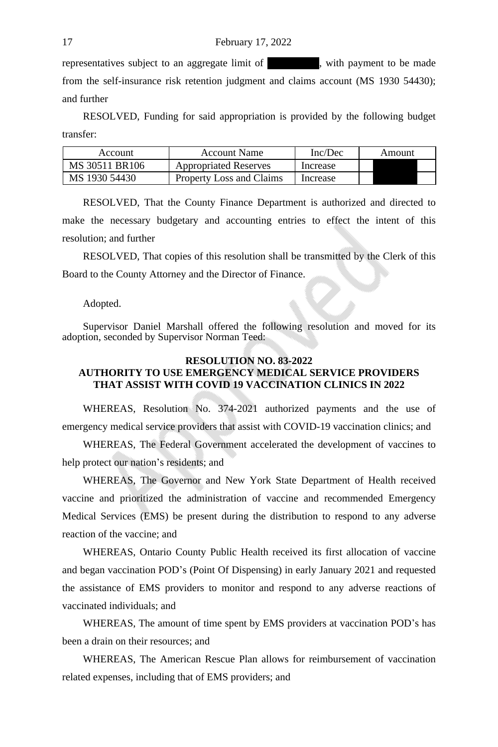representatives subject to an aggregate limit of  $\blacksquare$ , with payment to be made from the self-insurance risk retention judgment and claims account (MS 1930 54430); and further

RESOLVED, Funding for said appropriation is provided by the following budget transfer:

| Account        | <b>Account Name</b>          | Inc/Dec  | Amount |
|----------------|------------------------------|----------|--------|
| MS 30511 BR106 | <b>Appropriated Reserves</b> | Increase |        |
| MS 1930 54430  | Property Loss and Claims     | Increase |        |

RESOLVED, That the County Finance Department is authorized and directed to make the necessary budgetary and accounting entries to effect the intent of this resolution; and further

RESOLVED, That copies of this resolution shall be transmitted by the Clerk of this Board to the County Attorney and the Director of Finance.

#### Adopted.

Supervisor Daniel Marshall offered the following resolution and moved for its adoption, seconded by Supervisor Norman Teed:

#### **RESOLUTION NO. 83-2022 AUTHORITY TO USE EMERGENCY MEDICAL SERVICE PROVIDERS THAT ASSIST WITH COVID 19 VACCINATION CLINICS IN 2022**

WHEREAS, Resolution No. 374-2021 authorized payments and the use of emergency medical service providers that assist with COVID-19 vaccination clinics; and

WHEREAS, The Federal Government accelerated the development of vaccines to help protect our nation's residents; and

WHEREAS, The Governor and New York State Department of Health received vaccine and prioritized the administration of vaccine and recommended Emergency Medical Services (EMS) be present during the distribution to respond to any adverse reaction of the vaccine; and

WHEREAS, Ontario County Public Health received its first allocation of vaccine and began vaccination POD's (Point Of Dispensing) in early January 2021 and requested the assistance of EMS providers to monitor and respond to any adverse reactions of vaccinated individuals; and

WHEREAS, The amount of time spent by EMS providers at vaccination POD's has been a drain on their resources; and

WHEREAS, The American Rescue Plan allows for reimbursement of vaccination related expenses, including that of EMS providers; and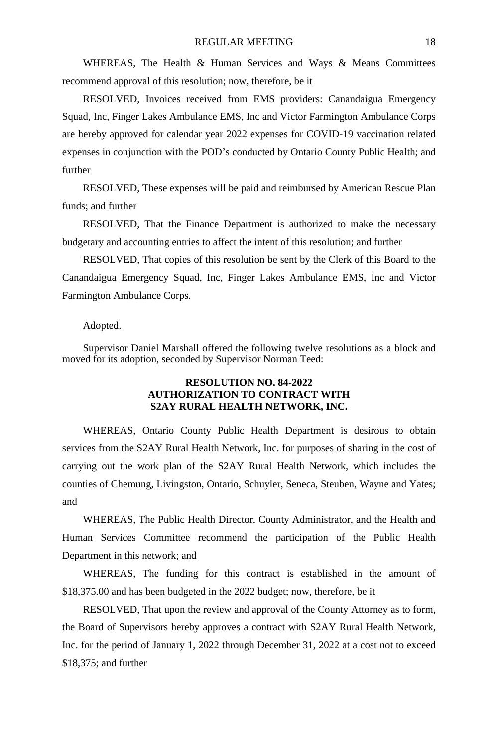WHEREAS, The Health & Human Services and Ways & Means Committees recommend approval of this resolution; now, therefore, be it

RESOLVED, Invoices received from EMS providers: Canandaigua Emergency Squad, Inc, Finger Lakes Ambulance EMS, Inc and Victor Farmington Ambulance Corps are hereby approved for calendar year 2022 expenses for COVID-19 vaccination related expenses in conjunction with the POD's conducted by Ontario County Public Health; and further

RESOLVED, These expenses will be paid and reimbursed by American Rescue Plan funds; and further

RESOLVED, That the Finance Department is authorized to make the necessary budgetary and accounting entries to affect the intent of this resolution; and further

RESOLVED, That copies of this resolution be sent by the Clerk of this Board to the Canandaigua Emergency Squad, Inc, Finger Lakes Ambulance EMS, Inc and Victor Farmington Ambulance Corps.

#### Adopted.

Supervisor Daniel Marshall offered the following twelve resolutions as a block and moved for its adoption, seconded by Supervisor Norman Teed:

### **RESOLUTION NO. 84-2022 AUTHORIZATION TO CONTRACT WITH S2AY RURAL HEALTH NETWORK, INC.**

WHEREAS, Ontario County Public Health Department is desirous to obtain services from the S2AY Rural Health Network, Inc. for purposes of sharing in the cost of carrying out the work plan of the S2AY Rural Health Network, which includes the counties of Chemung, Livingston, Ontario, Schuyler, Seneca, Steuben, Wayne and Yates; and

WHEREAS, The Public Health Director, County Administrator, and the Health and Human Services Committee recommend the participation of the Public Health Department in this network; and

WHEREAS, The funding for this contract is established in the amount of \$18,375.00 and has been budgeted in the 2022 budget; now, therefore, be it

RESOLVED, That upon the review and approval of the County Attorney as to form, the Board of Supervisors hereby approves a contract with S2AY Rural Health Network, Inc. for the period of January 1, 2022 through December 31, 2022 at a cost not to exceed \$18,375; and further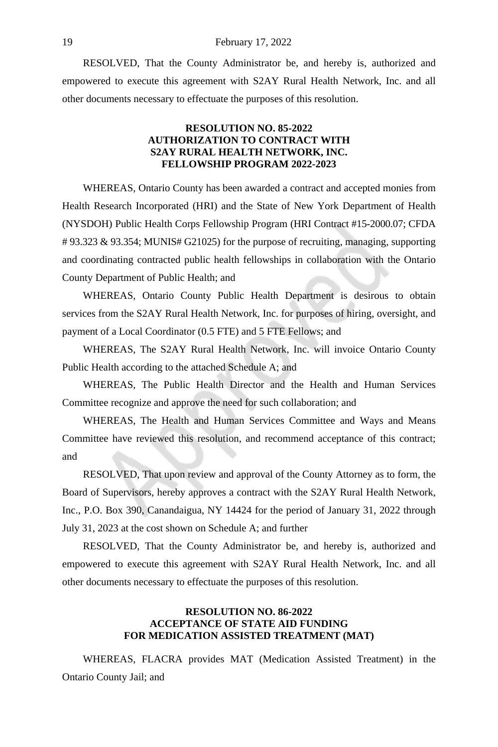RESOLVED, That the County Administrator be, and hereby is, authorized and empowered to execute this agreement with S2AY Rural Health Network, Inc. and all other documents necessary to effectuate the purposes of this resolution.

### **RESOLUTION NO. 85-2022 AUTHORIZATION TO CONTRACT WITH S2AY RURAL HEALTH NETWORK, INC. FELLOWSHIP PROGRAM 2022-2023**

WHEREAS, Ontario County has been awarded a contract and accepted monies from Health Research Incorporated (HRI) and the State of New York Department of Health (NYSDOH) Public Health Corps Fellowship Program (HRI Contract #15-2000.07; CFDA # 93.323 & 93.354; MUNIS# G21025) for the purpose of recruiting, managing, supporting and coordinating contracted public health fellowships in collaboration with the Ontario County Department of Public Health; and

WHEREAS, Ontario County Public Health Department is desirous to obtain services from the S2AY Rural Health Network, Inc. for purposes of hiring, oversight, and payment of a Local Coordinator (0.5 FTE) and 5 FTE Fellows; and

WHEREAS, The S2AY Rural Health Network, Inc. will invoice Ontario County Public Health according to the attached Schedule A; and

WHEREAS, The Public Health Director and the Health and Human Services Committee recognize and approve the need for such collaboration; and

WHEREAS, The Health and Human Services Committee and Ways and Means Committee have reviewed this resolution, and recommend acceptance of this contract; and

RESOLVED, That upon review and approval of the County Attorney as to form, the Board of Supervisors, hereby approves a contract with the S2AY Rural Health Network, Inc., P.O. Box 390, Canandaigua, NY 14424 for the period of January 31, 2022 through July 31, 2023 at the cost shown on Schedule A; and further

RESOLVED, That the County Administrator be, and hereby is, authorized and empowered to execute this agreement with S2AY Rural Health Network, Inc. and all other documents necessary to effectuate the purposes of this resolution.

## **RESOLUTION NO. 86-2022 ACCEPTANCE OF STATE AID FUNDING FOR MEDICATION ASSISTED TREATMENT (MAT)**

WHEREAS, FLACRA provides MAT (Medication Assisted Treatment) in the Ontario County Jail; and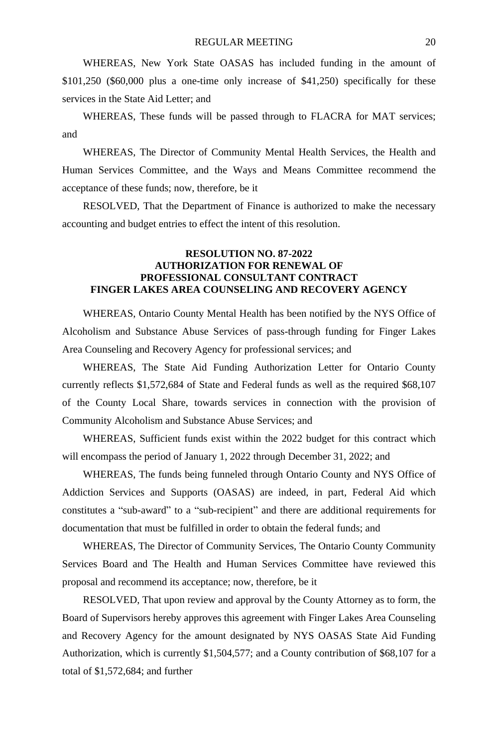WHEREAS, New York State OASAS has included funding in the amount of \$101,250 (\$60,000 plus a one-time only increase of \$41,250) specifically for these services in the State Aid Letter; and

WHEREAS, These funds will be passed through to FLACRA for MAT services; and

WHEREAS, The Director of Community Mental Health Services, the Health and Human Services Committee, and the Ways and Means Committee recommend the acceptance of these funds; now, therefore, be it

RESOLVED, That the Department of Finance is authorized to make the necessary accounting and budget entries to effect the intent of this resolution.

# **RESOLUTION NO. 87-2022 AUTHORIZATION FOR RENEWAL OF PROFESSIONAL CONSULTANT CONTRACT FINGER LAKES AREA COUNSELING AND RECOVERY AGENCY**

WHEREAS, Ontario County Mental Health has been notified by the NYS Office of Alcoholism and Substance Abuse Services of pass-through funding for Finger Lakes Area Counseling and Recovery Agency for professional services; and

WHEREAS, The State Aid Funding Authorization Letter for Ontario County currently reflects \$1,572,684 of State and Federal funds as well as the required \$68,107 of the County Local Share, towards services in connection with the provision of Community Alcoholism and Substance Abuse Services; and

WHEREAS, Sufficient funds exist within the 2022 budget for this contract which will encompass the period of January 1, 2022 through December 31, 2022; and

WHEREAS, The funds being funneled through Ontario County and NYS Office of Addiction Services and Supports (OASAS) are indeed, in part, Federal Aid which constitutes a "sub-award" to a "sub-recipient" and there are additional requirements for documentation that must be fulfilled in order to obtain the federal funds; and

WHEREAS, The Director of Community Services, The Ontario County Community Services Board and The Health and Human Services Committee have reviewed this proposal and recommend its acceptance; now, therefore, be it

RESOLVED, That upon review and approval by the County Attorney as to form, the Board of Supervisors hereby approves this agreement with Finger Lakes Area Counseling and Recovery Agency for the amount designated by NYS OASAS State Aid Funding Authorization, which is currently \$1,504,577; and a County contribution of \$68,107 for a total of \$1,572,684; and further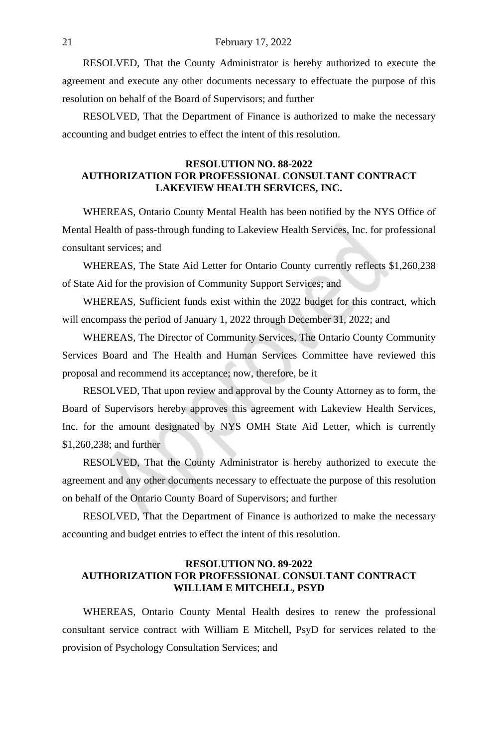RESOLVED, That the County Administrator is hereby authorized to execute the agreement and execute any other documents necessary to effectuate the purpose of this resolution on behalf of the Board of Supervisors; and further

RESOLVED, That the Department of Finance is authorized to make the necessary accounting and budget entries to effect the intent of this resolution.

# **RESOLUTION NO. 88-2022 AUTHORIZATION FOR PROFESSIONAL CONSULTANT CONTRACT LAKEVIEW HEALTH SERVICES, INC.**

WHEREAS, Ontario County Mental Health has been notified by the NYS Office of Mental Health of pass-through funding to Lakeview Health Services, Inc. for professional consultant services; and

WHEREAS, The State Aid Letter for Ontario County currently reflects \$1,260,238 of State Aid for the provision of Community Support Services; and

WHEREAS, Sufficient funds exist within the 2022 budget for this contract, which will encompass the period of January 1, 2022 through December 31, 2022; and

WHEREAS, The Director of Community Services, The Ontario County Community Services Board and The Health and Human Services Committee have reviewed this proposal and recommend its acceptance; now, therefore, be it

RESOLVED, That upon review and approval by the County Attorney as to form, the Board of Supervisors hereby approves this agreement with Lakeview Health Services, Inc. for the amount designated by NYS OMH State Aid Letter, which is currently \$1,260,238; and further

RESOLVED, That the County Administrator is hereby authorized to execute the agreement and any other documents necessary to effectuate the purpose of this resolution on behalf of the Ontario County Board of Supervisors; and further

RESOLVED, That the Department of Finance is authorized to make the necessary accounting and budget entries to effect the intent of this resolution.

### **RESOLUTION NO. 89-2022 AUTHORIZATION FOR PROFESSIONAL CONSULTANT CONTRACT WILLIAM E MITCHELL, PSYD**

WHEREAS, Ontario County Mental Health desires to renew the professional consultant service contract with William E Mitchell, PsyD for services related to the provision of Psychology Consultation Services; and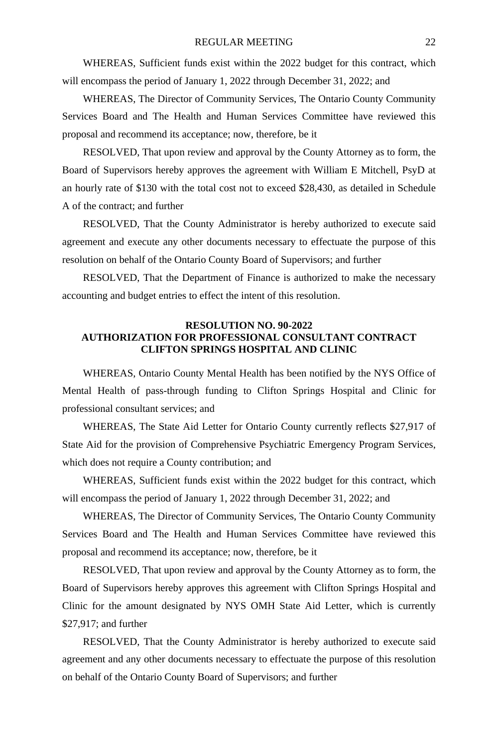WHEREAS, Sufficient funds exist within the 2022 budget for this contract, which will encompass the period of January 1, 2022 through December 31, 2022; and

WHEREAS, The Director of Community Services, The Ontario County Community Services Board and The Health and Human Services Committee have reviewed this proposal and recommend its acceptance; now, therefore, be it

RESOLVED, That upon review and approval by the County Attorney as to form, the Board of Supervisors hereby approves the agreement with William E Mitchell, PsyD at an hourly rate of \$130 with the total cost not to exceed \$28,430, as detailed in Schedule A of the contract; and further

RESOLVED, That the County Administrator is hereby authorized to execute said agreement and execute any other documents necessary to effectuate the purpose of this resolution on behalf of the Ontario County Board of Supervisors; and further

RESOLVED, That the Department of Finance is authorized to make the necessary accounting and budget entries to effect the intent of this resolution.

# **RESOLUTION NO. 90-2022 AUTHORIZATION FOR PROFESSIONAL CONSULTANT CONTRACT CLIFTON SPRINGS HOSPITAL AND CLINIC**

WHEREAS, Ontario County Mental Health has been notified by the NYS Office of Mental Health of pass-through funding to Clifton Springs Hospital and Clinic for professional consultant services; and

WHEREAS, The State Aid Letter for Ontario County currently reflects \$27,917 of State Aid for the provision of Comprehensive Psychiatric Emergency Program Services, which does not require a County contribution; and

WHEREAS, Sufficient funds exist within the 2022 budget for this contract, which will encompass the period of January 1, 2022 through December 31, 2022; and

WHEREAS, The Director of Community Services, The Ontario County Community Services Board and The Health and Human Services Committee have reviewed this proposal and recommend its acceptance; now, therefore, be it

RESOLVED, That upon review and approval by the County Attorney as to form, the Board of Supervisors hereby approves this agreement with Clifton Springs Hospital and Clinic for the amount designated by NYS OMH State Aid Letter, which is currently \$27,917; and further

RESOLVED, That the County Administrator is hereby authorized to execute said agreement and any other documents necessary to effectuate the purpose of this resolution on behalf of the Ontario County Board of Supervisors; and further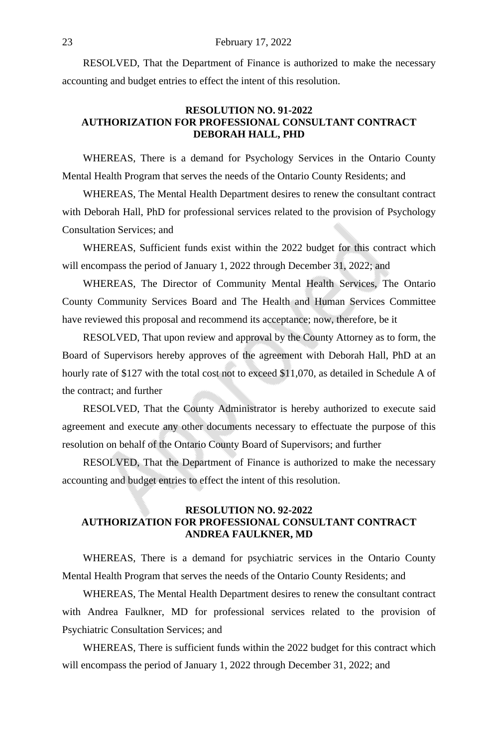RESOLVED, That the Department of Finance is authorized to make the necessary accounting and budget entries to effect the intent of this resolution.

### **RESOLUTION NO. 91-2022 AUTHORIZATION FOR PROFESSIONAL CONSULTANT CONTRACT DEBORAH HALL, PHD**

WHEREAS, There is a demand for Psychology Services in the Ontario County Mental Health Program that serves the needs of the Ontario County Residents; and

WHEREAS, The Mental Health Department desires to renew the consultant contract with Deborah Hall, PhD for professional services related to the provision of Psychology Consultation Services; and

WHEREAS, Sufficient funds exist within the 2022 budget for this contract which will encompass the period of January 1, 2022 through December 31, 2022; and

WHEREAS, The Director of Community Mental Health Services, The Ontario County Community Services Board and The Health and Human Services Committee have reviewed this proposal and recommend its acceptance; now, therefore, be it

RESOLVED, That upon review and approval by the County Attorney as to form, the Board of Supervisors hereby approves of the agreement with Deborah Hall, PhD at an hourly rate of \$127 with the total cost not to exceed \$11,070, as detailed in Schedule A of the contract; and further

RESOLVED, That the County Administrator is hereby authorized to execute said agreement and execute any other documents necessary to effectuate the purpose of this resolution on behalf of the Ontario County Board of Supervisors; and further

RESOLVED, That the Department of Finance is authorized to make the necessary accounting and budget entries to effect the intent of this resolution.

# **RESOLUTION NO. 92-2022 AUTHORIZATION FOR PROFESSIONAL CONSULTANT CONTRACT ANDREA FAULKNER, MD**

WHEREAS, There is a demand for psychiatric services in the Ontario County Mental Health Program that serves the needs of the Ontario County Residents; and

WHEREAS, The Mental Health Department desires to renew the consultant contract with Andrea Faulkner, MD for professional services related to the provision of Psychiatric Consultation Services; and

WHEREAS, There is sufficient funds within the 2022 budget for this contract which will encompass the period of January 1, 2022 through December 31, 2022; and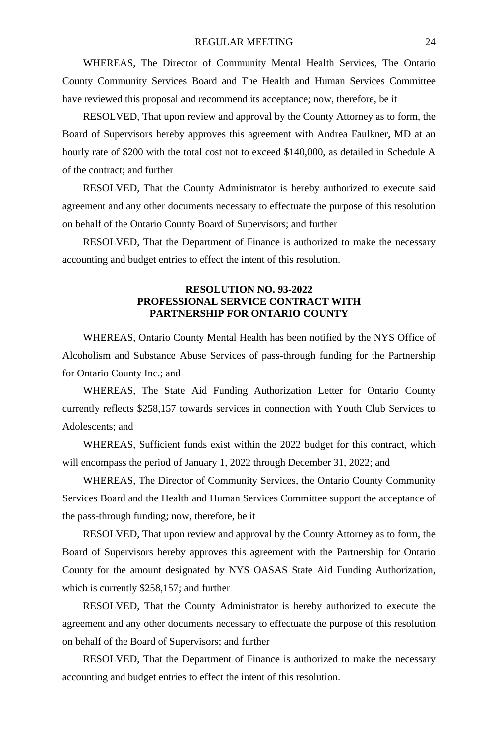WHEREAS, The Director of Community Mental Health Services, The Ontario County Community Services Board and The Health and Human Services Committee have reviewed this proposal and recommend its acceptance; now, therefore, be it

RESOLVED, That upon review and approval by the County Attorney as to form, the Board of Supervisors hereby approves this agreement with Andrea Faulkner, MD at an hourly rate of \$200 with the total cost not to exceed \$140,000, as detailed in Schedule A of the contract; and further

RESOLVED, That the County Administrator is hereby authorized to execute said agreement and any other documents necessary to effectuate the purpose of this resolution on behalf of the Ontario County Board of Supervisors; and further

RESOLVED, That the Department of Finance is authorized to make the necessary accounting and budget entries to effect the intent of this resolution.

### **RESOLUTION NO. 93-2022 PROFESSIONAL SERVICE CONTRACT WITH PARTNERSHIP FOR ONTARIO COUNTY**

WHEREAS, Ontario County Mental Health has been notified by the NYS Office of Alcoholism and Substance Abuse Services of pass-through funding for the Partnership for Ontario County Inc.; and

WHEREAS, The State Aid Funding Authorization Letter for Ontario County currently reflects \$258,157 towards services in connection with Youth Club Services to Adolescents; and

WHEREAS, Sufficient funds exist within the 2022 budget for this contract, which will encompass the period of January 1, 2022 through December 31, 2022; and

WHEREAS, The Director of Community Services, the Ontario County Community Services Board and the Health and Human Services Committee support the acceptance of the pass-through funding; now, therefore, be it

RESOLVED, That upon review and approval by the County Attorney as to form, the Board of Supervisors hereby approves this agreement with the Partnership for Ontario County for the amount designated by NYS OASAS State Aid Funding Authorization, which is currently \$258,157; and further

RESOLVED, That the County Administrator is hereby authorized to execute the agreement and any other documents necessary to effectuate the purpose of this resolution on behalf of the Board of Supervisors; and further

RESOLVED, That the Department of Finance is authorized to make the necessary accounting and budget entries to effect the intent of this resolution.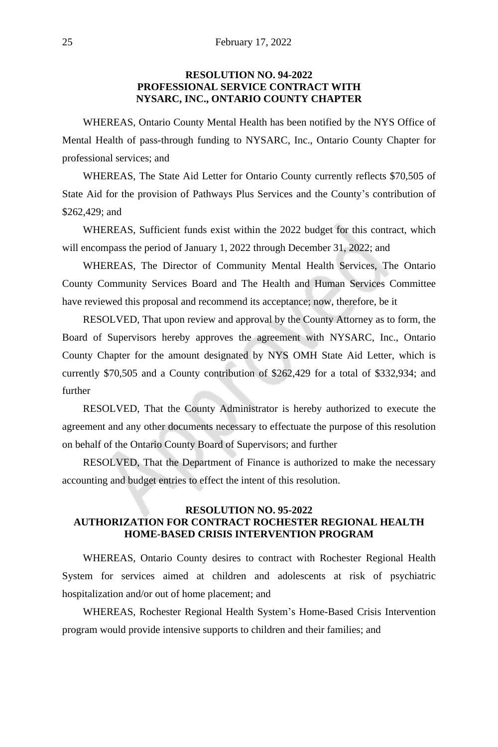# **RESOLUTION NO. 94-2022 PROFESSIONAL SERVICE CONTRACT WITH NYSARC, INC., ONTARIO COUNTY CHAPTER**

WHEREAS, Ontario County Mental Health has been notified by the NYS Office of Mental Health of pass-through funding to NYSARC, Inc., Ontario County Chapter for professional services; and

WHEREAS, The State Aid Letter for Ontario County currently reflects \$70,505 of State Aid for the provision of Pathways Plus Services and the County's contribution of \$262,429; and

WHEREAS, Sufficient funds exist within the 2022 budget for this contract, which will encompass the period of January 1, 2022 through December 31, 2022; and

WHEREAS, The Director of Community Mental Health Services, The Ontario County Community Services Board and The Health and Human Services Committee have reviewed this proposal and recommend its acceptance; now, therefore, be it

RESOLVED, That upon review and approval by the County Attorney as to form, the Board of Supervisors hereby approves the agreement with NYSARC, Inc., Ontario County Chapter for the amount designated by NYS OMH State Aid Letter, which is currently \$70,505 and a County contribution of \$262,429 for a total of \$332,934; and further

RESOLVED, That the County Administrator is hereby authorized to execute the agreement and any other documents necessary to effectuate the purpose of this resolution on behalf of the Ontario County Board of Supervisors; and further

RESOLVED, That the Department of Finance is authorized to make the necessary accounting and budget entries to effect the intent of this resolution.

# **RESOLUTION NO. 95-2022 AUTHORIZATION FOR CONTRACT ROCHESTER REGIONAL HEALTH HOME-BASED CRISIS INTERVENTION PROGRAM**

WHEREAS, Ontario County desires to contract with Rochester Regional Health System for services aimed at children and adolescents at risk of psychiatric hospitalization and/or out of home placement; and

WHEREAS, Rochester Regional Health System's Home-Based Crisis Intervention program would provide intensive supports to children and their families; and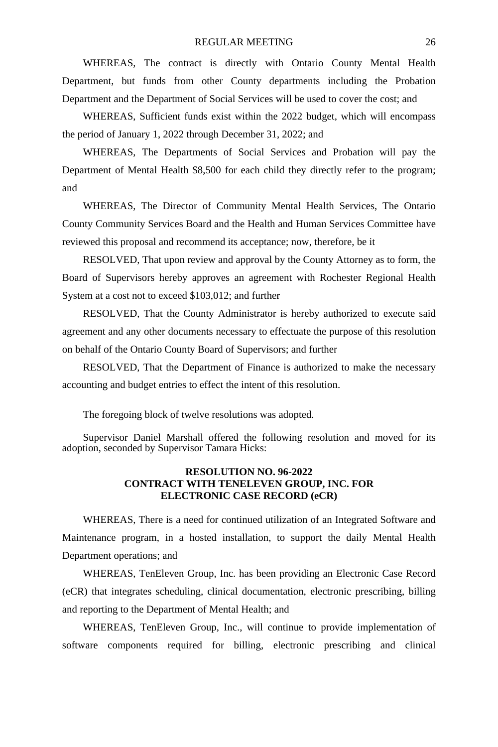WHEREAS, The contract is directly with Ontario County Mental Health Department, but funds from other County departments including the Probation Department and the Department of Social Services will be used to cover the cost; and

WHEREAS, Sufficient funds exist within the 2022 budget, which will encompass the period of January 1, 2022 through December 31, 2022; and

WHEREAS, The Departments of Social Services and Probation will pay the Department of Mental Health \$8,500 for each child they directly refer to the program; and

WHEREAS, The Director of Community Mental Health Services, The Ontario County Community Services Board and the Health and Human Services Committee have reviewed this proposal and recommend its acceptance; now, therefore, be it

RESOLVED, That upon review and approval by the County Attorney as to form, the Board of Supervisors hereby approves an agreement with Rochester Regional Health System at a cost not to exceed \$103,012; and further

RESOLVED, That the County Administrator is hereby authorized to execute said agreement and any other documents necessary to effectuate the purpose of this resolution on behalf of the Ontario County Board of Supervisors; and further

RESOLVED, That the Department of Finance is authorized to make the necessary accounting and budget entries to effect the intent of this resolution.

The foregoing block of twelve resolutions was adopted.

Supervisor Daniel Marshall offered the following resolution and moved for its adoption, seconded by Supervisor Tamara Hicks:

# **RESOLUTION NO. 96-2022 CONTRACT WITH TENELEVEN GROUP, INC. FOR ELECTRONIC CASE RECORD (eCR)**

WHEREAS, There is a need for continued utilization of an Integrated Software and Maintenance program, in a hosted installation, to support the daily Mental Health Department operations; and

WHEREAS, TenEleven Group, Inc. has been providing an Electronic Case Record (eCR) that integrates scheduling, clinical documentation, electronic prescribing, billing and reporting to the Department of Mental Health; and

WHEREAS, TenEleven Group, Inc., will continue to provide implementation of software components required for billing, electronic prescribing and clinical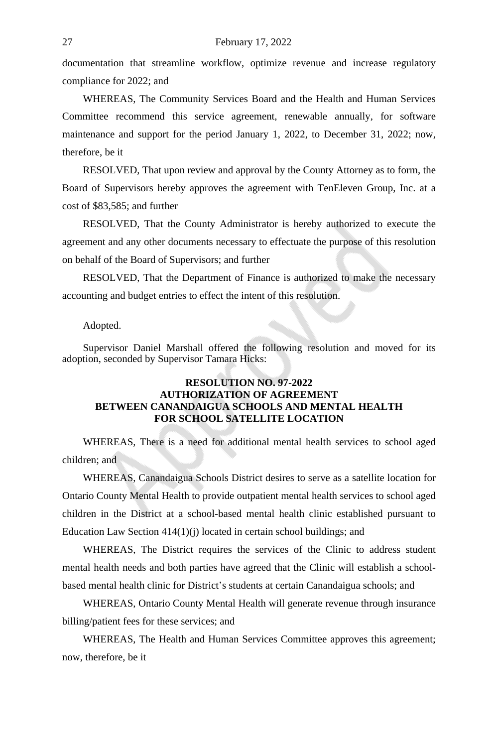documentation that streamline workflow, optimize revenue and increase regulatory compliance for 2022; and

WHEREAS, The Community Services Board and the Health and Human Services Committee recommend this service agreement, renewable annually, for software maintenance and support for the period January 1, 2022, to December 31, 2022; now, therefore, be it

RESOLVED, That upon review and approval by the County Attorney as to form, the Board of Supervisors hereby approves the agreement with TenEleven Group, Inc. at a cost of \$83,585; and further

RESOLVED, That the County Administrator is hereby authorized to execute the agreement and any other documents necessary to effectuate the purpose of this resolution on behalf of the Board of Supervisors; and further

RESOLVED, That the Department of Finance is authorized to make the necessary accounting and budget entries to effect the intent of this resolution.

#### Adopted.

Supervisor Daniel Marshall offered the following resolution and moved for its adoption, seconded by Supervisor Tamara Hicks:

# **RESOLUTION NO. 97-2022 AUTHORIZATION OF AGREEMENT BETWEEN CANANDAIGUA SCHOOLS AND MENTAL HEALTH FOR SCHOOL SATELLITE LOCATION**

WHEREAS, There is a need for additional mental health services to school aged children; and

WHEREAS, Canandaigua Schools District desires to serve as a satellite location for Ontario County Mental Health to provide outpatient mental health services to school aged children in the District at a school-based mental health clinic established pursuant to Education Law Section 414(1)(j) located in certain school buildings; and

WHEREAS, The District requires the services of the Clinic to address student mental health needs and both parties have agreed that the Clinic will establish a schoolbased mental health clinic for District's students at certain Canandaigua schools; and

WHEREAS, Ontario County Mental Health will generate revenue through insurance billing/patient fees for these services; and

WHEREAS, The Health and Human Services Committee approves this agreement; now, therefore, be it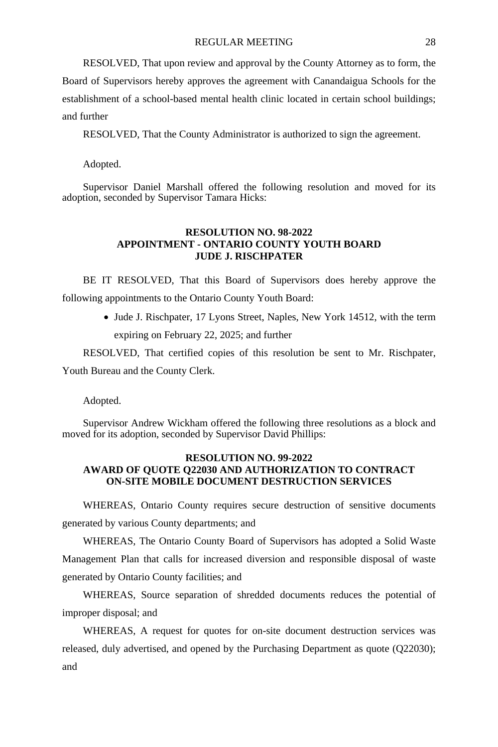RESOLVED, That upon review and approval by the County Attorney as to form, the Board of Supervisors hereby approves the agreement with Canandaigua Schools for the establishment of a school-based mental health clinic located in certain school buildings; and further

RESOLVED, That the County Administrator is authorized to sign the agreement.

Adopted.

Supervisor Daniel Marshall offered the following resolution and moved for its adoption, seconded by Supervisor Tamara Hicks:

#### **RESOLUTION NO. 98-2022 APPOINTMENT - ONTARIO COUNTY YOUTH BOARD JUDE J. RISCHPATER**

BE IT RESOLVED, That this Board of Supervisors does hereby approve the following appointments to the Ontario County Youth Board:

> • Jude J. Rischpater, 17 Lyons Street, Naples, New York 14512, with the term expiring on February 22, 2025; and further

RESOLVED, That certified copies of this resolution be sent to Mr. Rischpater, Youth Bureau and the County Clerk.

Adopted.

Supervisor Andrew Wickham offered the following three resolutions as a block and moved for its adoption, seconded by Supervisor David Phillips:

# **RESOLUTION NO. 99-2022 AWARD OF QUOTE Q22030 AND AUTHORIZATION TO CONTRACT ON-SITE MOBILE DOCUMENT DESTRUCTION SERVICES**

WHEREAS, Ontario County requires secure destruction of sensitive documents generated by various County departments; and

WHEREAS, The Ontario County Board of Supervisors has adopted a Solid Waste Management Plan that calls for increased diversion and responsible disposal of waste generated by Ontario County facilities; and

WHEREAS, Source separation of shredded documents reduces the potential of improper disposal; and

WHEREAS, A request for quotes for on-site document destruction services was released, duly advertised, and opened by the Purchasing Department as quote (Q22030); and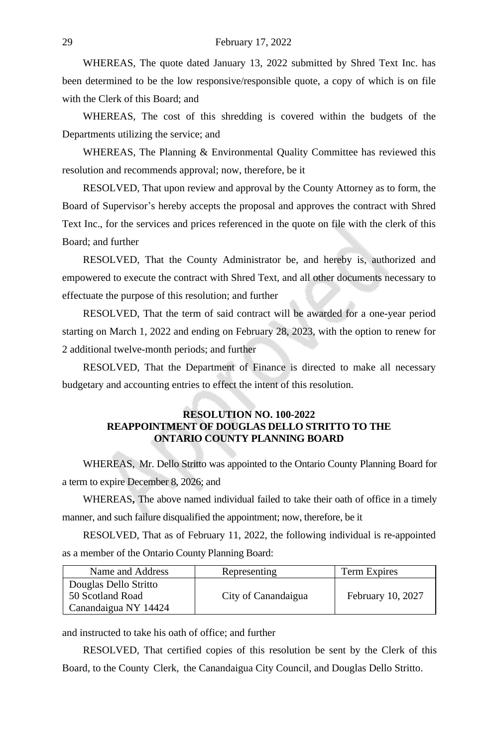WHEREAS, The quote dated January 13, 2022 submitted by Shred Text Inc. has been determined to be the low responsive/responsible quote, a copy of which is on file with the Clerk of this Board; and

WHEREAS, The cost of this shredding is covered within the budgets of the Departments utilizing the service; and

WHEREAS, The Planning & Environmental Quality Committee has reviewed this resolution and recommends approval; now, therefore, be it

RESOLVED, That upon review and approval by the County Attorney as to form, the Board of Supervisor's hereby accepts the proposal and approves the contract with Shred Text Inc., for the services and prices referenced in the quote on file with the clerk of this Board; and further

RESOLVED, That the County Administrator be, and hereby is, authorized and empowered to execute the contract with Shred Text, and all other documents necessary to effectuate the purpose of this resolution; and further

RESOLVED, That the term of said contract will be awarded for a one-year period starting on March 1, 2022 and ending on February 28, 2023, with the option to renew for 2 additional twelve-month periods; and further

RESOLVED, That the Department of Finance is directed to make all necessary budgetary and accounting entries to effect the intent of this resolution.

## **RESOLUTION NO. 100-2022 REAPPOINTMENT OF DOUGLAS DELLO STRITTO TO THE ONTARIO COUNTY PLANNING BOARD**

WHEREAS, Mr. Dello Stritto was appointed to the Ontario County Planning Board for a term to expire December 8, 2026; and

WHEREAS**,** The above named individual failed to take their oath of office in a timely manner, and such failure disqualified the appointment; now, therefore, be it

RESOLVED, That as of February 11, 2022, the following individual is re-appointed as a member of the Ontario County Planning Board:

| Name and Address      | Representing        | Term Expires      |
|-----------------------|---------------------|-------------------|
| Douglas Dello Stritto |                     |                   |
| 50 Scotland Road      | City of Canandaigua | February 10, 2027 |
| Canandaigua NY 14424  |                     |                   |

and instructed to take his oath of office; and further

RESOLVED, That certified copies of this resolution be sent by the Clerk of this Board, to the County Clerk, the Canandaigua City Council, and Douglas Dello Stritto.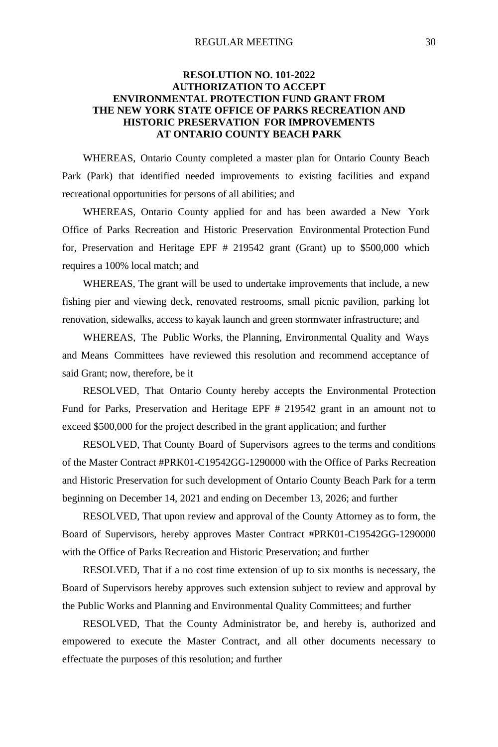#### REGULAR MEETING 30

# **RESOLUTION NO. 101-2022 AUTHORIZATION TO ACCEPT ENVIRONMENTAL PROTECTION FUND GRANT FROM THE NEW YORK STATE OFFICE OF PARKS RECREATION AND HISTORIC PRESERVATION FOR IMPROVEMENTS AT ONTARIO COUNTY BEACH PARK**

WHEREAS, Ontario County completed a master plan for Ontario County Beach Park (Park) that identified needed improvements to existing facilities and expand recreational opportunities for persons of all abilities; and

WHEREAS, Ontario County applied for and has been awarded a New York Office of Parks Recreation and Historic Preservation Environmental Protection Fund for, Preservation and Heritage EPF # 219542 grant (Grant) up to \$500,000 which requires a 100% local match; and

WHEREAS, The grant will be used to undertake improvements that include, a new fishing pier and viewing deck, renovated restrooms, small picnic pavilion, parking lot renovation, sidewalks, access to kayak launch and green stormwater infrastructure; and

WHEREAS, The Public Works, the Planning, Environmental Quality and Ways and Means Committees have reviewed this resolution and recommend acceptance of said Grant; now, therefore, be it

RESOLVED, That Ontario County hereby accepts the Environmental Protection Fund for Parks, Preservation and Heritage EPF # 219542 grant in an amount not to exceed \$500,000 for the project described in the grant application; and further

RESOLVED, That County Board of Supervisors agrees to the terms and conditions of the Master Contract #PRK01-C19542GG-1290000 with the Office of Parks Recreation and Historic Preservation for such development of Ontario County Beach Park for a term beginning on December 14, 2021 and ending on December 13, 2026; and further

RESOLVED, That upon review and approval of the County Attorney as to form, the Board of Supervisors, hereby approves Master Contract #PRK01-C19542GG-1290000 with the Office of Parks Recreation and Historic Preservation; and further

RESOLVED, That if a no cost time extension of up to six months is necessary, the Board of Supervisors hereby approves such extension subject to review and approval by the Public Works and Planning and Environmental Quality Committees; and further

RESOLVED, That the County Administrator be, and hereby is, authorized and empowered to execute the Master Contract, and all other documents necessary to effectuate the purposes of this resolution; and further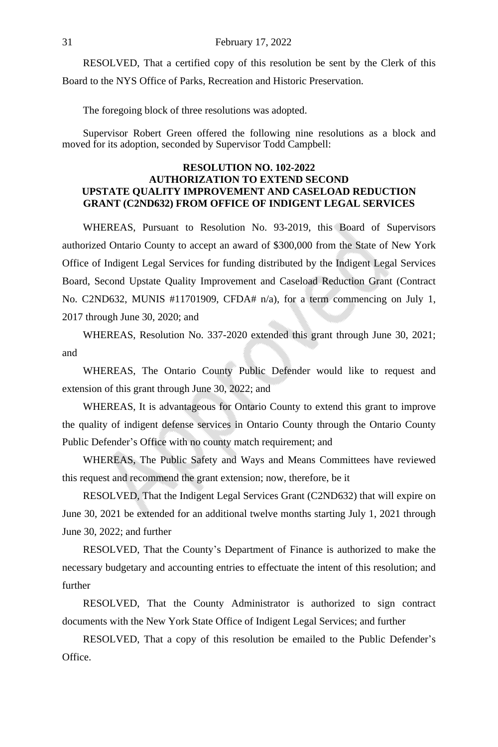RESOLVED, That a certified copy of this resolution be sent by the Clerk of this Board to the NYS Office of Parks, Recreation and Historic Preservation.

The foregoing block of three resolutions was adopted.

Supervisor Robert Green offered the following nine resolutions as a block and moved for its adoption, seconded by Supervisor Todd Campbell:

# **RESOLUTION NO. 102-2022 AUTHORIZATION TO EXTEND SECOND UPSTATE QUALITY IMPROVEMENT AND CASELOAD REDUCTION GRANT (C2ND632) FROM OFFICE OF INDIGENT LEGAL SERVICES**

WHEREAS, Pursuant to Resolution No. 93-2019, this Board of Supervisors authorized Ontario County to accept an award of \$300,000 from the State of New York Office of Indigent Legal Services for funding distributed by the Indigent Legal Services Board, Second Upstate Quality Improvement and Caseload Reduction Grant (Contract No. C2ND632, MUNIS #11701909, CFDA# n/a), for a term commencing on July 1, 2017 through June 30, 2020; and

WHEREAS, Resolution No. 337-2020 extended this grant through June 30, 2021; and

WHEREAS, The Ontario County Public Defender would like to request and extension of this grant through June 30, 2022; and

WHEREAS, It is advantageous for Ontario County to extend this grant to improve the quality of indigent defense services in Ontario County through the Ontario County Public Defender's Office with no county match requirement; and

WHEREAS, The Public Safety and Ways and Means Committees have reviewed this request and recommend the grant extension; now, therefore, be it

RESOLVED, That the Indigent Legal Services Grant (C2ND632) that will expire on June 30, 2021 be extended for an additional twelve months starting July 1, 2021 through June 30, 2022; and further

RESOLVED, That the County's Department of Finance is authorized to make the necessary budgetary and accounting entries to effectuate the intent of this resolution; and further

RESOLVED, That the County Administrator is authorized to sign contract documents with the New York State Office of Indigent Legal Services; and further

RESOLVED, That a copy of this resolution be emailed to the Public Defender's Office.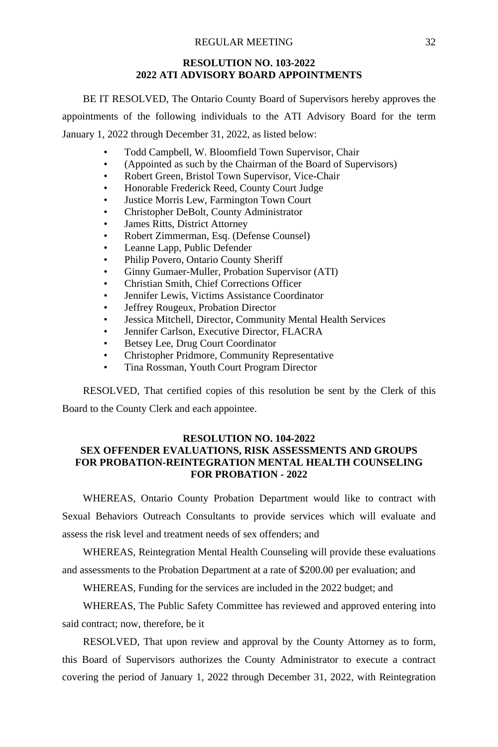### **RESOLUTION NO. 103-2022 2022 ATI ADVISORY BOARD APPOINTMENTS**

BE IT RESOLVED, The Ontario County Board of Supervisors hereby approves the appointments of the following individuals to the ATI Advisory Board for the term January 1, 2022 through December 31, 2022, as listed below:

- Todd Campbell, W. Bloomfield Town Supervisor, Chair
- (Appointed as such by the Chairman of the Board of Supervisors)
- Robert Green, Bristol Town Supervisor, Vice-Chair
- Honorable Frederick Reed, County Court Judge
- Justice Morris Lew, Farmington Town Court
- Christopher DeBolt, County Administrator
- James Ritts, District Attorney
- Robert Zimmerman, Esq. (Defense Counsel)
- Leanne Lapp, Public Defender
- Philip Povero, Ontario County Sheriff
- Ginny Gumaer-Muller, Probation Supervisor (ATI)
- Christian Smith, Chief Corrections Officer
- Jennifer Lewis, Victims Assistance Coordinator
- Jeffrey Rougeux, Probation Director
- Jessica Mitchell, Director, Community Mental Health Services
- Jennifer Carlson, Executive Director, FLACRA
- Betsey Lee, Drug Court Coordinator
- Christopher Pridmore, Community Representative
- Tina Rossman, Youth Court Program Director

RESOLVED, That certified copies of this resolution be sent by the Clerk of this Board to the County Clerk and each appointee.

# **RESOLUTION NO. 104-2022**

# **SEX OFFENDER EVALUATIONS, RISK ASSESSMENTS AND GROUPS FOR PROBATION-REINTEGRATION MENTAL HEALTH COUNSELING FOR PROBATION - 2022**

WHEREAS, Ontario County Probation Department would like to contract with Sexual Behaviors Outreach Consultants to provide services which will evaluate and assess the risk level and treatment needs of sex offenders; and

WHEREAS, Reintegration Mental Health Counseling will provide these evaluations and assessments to the Probation Department at a rate of \$200.00 per evaluation; and

WHEREAS, Funding for the services are included in the 2022 budget; and

WHEREAS, The Public Safety Committee has reviewed and approved entering into said contract; now, therefore, be it

RESOLVED, That upon review and approval by the County Attorney as to form, this Board of Supervisors authorizes the County Administrator to execute a contract covering the period of January 1, 2022 through December 31, 2022, with Reintegration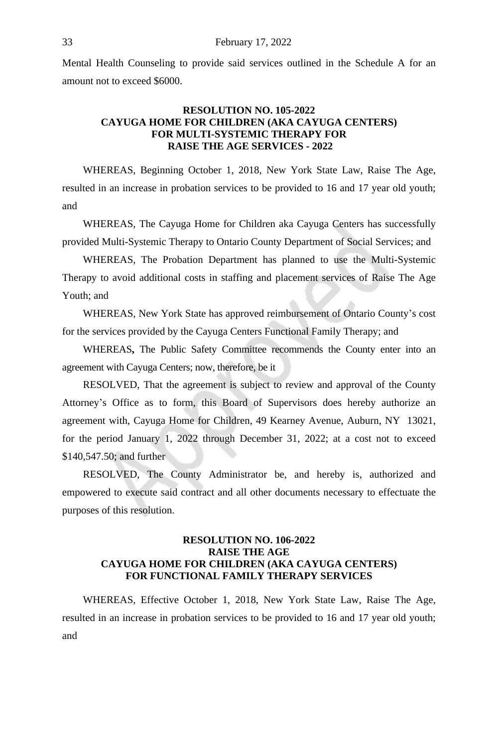Mental Health Counseling to provide said services outlined in the Schedule A for an amount not to exceed \$6000.

# **RESOLUTION NO. 105-2022 CAYUGA HOME FOR CHILDREN (AKA CAYUGA CENTERS) FOR MULTI-SYSTEMIC THERAPY FOR RAISE THE AGE SERVICES - 2022**

WHEREAS, Beginning October 1, 2018, New York State Law, Raise The Age, resulted in an increase in probation services to be provided to 16 and 17 year old youth; and

WHEREAS, The Cayuga Home for Children aka Cayuga Centers has successfully provided Multi-Systemic Therapy to Ontario County Department of Social Services; and

WHEREAS, The Probation Department has planned to use the Multi-Systemic Therapy to avoid additional costs in staffing and placement services of Raise The Age Youth; and

WHEREAS, New York State has approved reimbursement of Ontario County's cost for the services provided by the Cayuga Centers Functional Family Therapy; and

WHEREAS**,** The Public Safety Committee recommends the County enter into an agreement with Cayuga Centers; now, therefore, be it

RESOLVED, That the agreement is subject to review and approval of the County Attorney's Office as to form, this Board of Supervisors does hereby authorize an agreement with, Cayuga Home for Children, 49 Kearney Avenue, Auburn, NY 13021, for the period January 1, 2022 through December 31, 2022; at a cost not to exceed \$140,547.50; and further

RESOLVED, The County Administrator be, and hereby is, authorized and empowered to execute said contract and all other documents necessary to effectuate the purposes of this resolution.

# **RESOLUTION NO. 106-2022 RAISE THE AGE CAYUGA HOME FOR CHILDREN (AKA CAYUGA CENTERS) FOR FUNCTIONAL FAMILY THERAPY SERVICES**

WHEREAS, Effective October 1, 2018, New York State Law, Raise The Age, resulted in an increase in probation services to be provided to 16 and 17 year old youth; and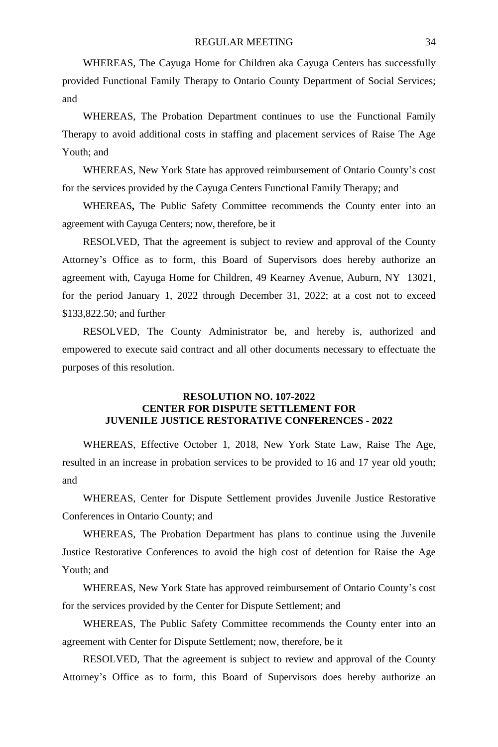WHEREAS, The Cayuga Home for Children aka Cayuga Centers has successfully provided Functional Family Therapy to Ontario County Department of Social Services; and

WHEREAS, The Probation Department continues to use the Functional Family Therapy to avoid additional costs in staffing and placement services of Raise The Age Youth; and

WHEREAS, New York State has approved reimbursement of Ontario County's cost for the services provided by the Cayuga Centers Functional Family Therapy; and

WHEREAS**,** The Public Safety Committee recommends the County enter into an agreement with Cayuga Centers; now, therefore, be it

RESOLVED, That the agreement is subject to review and approval of the County Attorney's Office as to form, this Board of Supervisors does hereby authorize an agreement with, Cayuga Home for Children, 49 Kearney Avenue, Auburn, NY 13021, for the period January 1, 2022 through December 31, 2022; at a cost not to exceed \$133,822.50; and further

RESOLVED, The County Administrator be, and hereby is, authorized and empowered to execute said contract and all other documents necessary to effectuate the purposes of this resolution.

# **RESOLUTION NO. 107-2022 CENTER FOR DISPUTE SETTLEMENT FOR JUVENILE JUSTICE RESTORATIVE CONFERENCES - 2022**

WHEREAS, Effective October 1, 2018, New York State Law, Raise The Age, resulted in an increase in probation services to be provided to 16 and 17 year old youth; and

WHEREAS, Center for Dispute Settlement provides Juvenile Justice Restorative Conferences in Ontario County; and

WHEREAS, The Probation Department has plans to continue using the Juvenile Justice Restorative Conferences to avoid the high cost of detention for Raise the Age Youth; and

WHEREAS, New York State has approved reimbursement of Ontario County's cost for the services provided by the Center for Dispute Settlement; and

WHEREAS, The Public Safety Committee recommends the County enter into an agreement with Center for Dispute Settlement; now, therefore, be it

RESOLVED, That the agreement is subject to review and approval of the County Attorney's Office as to form, this Board of Supervisors does hereby authorize an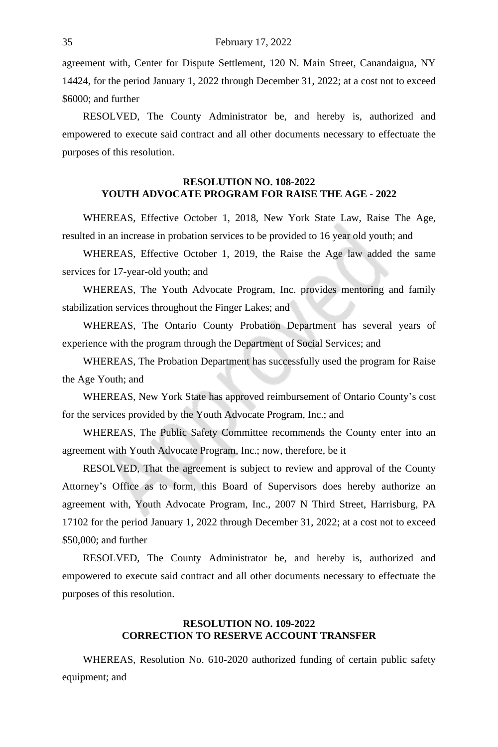agreement with, Center for Dispute Settlement, 120 N. Main Street, Canandaigua, NY 14424, for the period January 1, 2022 through December 31, 2022; at a cost not to exceed \$6000; and further

RESOLVED, The County Administrator be, and hereby is, authorized and empowered to execute said contract and all other documents necessary to effectuate the purposes of this resolution.

# **RESOLUTION NO. 108-2022 YOUTH ADVOCATE PROGRAM FOR RAISE THE AGE - 2022**

WHEREAS, Effective October 1, 2018, New York State Law, Raise The Age, resulted in an increase in probation services to be provided to 16 year old youth; and

WHEREAS, Effective October 1, 2019, the Raise the Age law added the same services for 17-year-old youth; and

WHEREAS, The Youth Advocate Program, Inc. provides mentoring and family stabilization services throughout the Finger Lakes; and

WHEREAS, The Ontario County Probation Department has several years of experience with the program through the Department of Social Services; and

WHEREAS, The Probation Department has successfully used the program for Raise the Age Youth; and

WHEREAS, New York State has approved reimbursement of Ontario County's cost for the services provided by the Youth Advocate Program, Inc.; and

WHEREAS, The Public Safety Committee recommends the County enter into an agreement with Youth Advocate Program, Inc.; now, therefore, be it

RESOLVED, That the agreement is subject to review and approval of the County Attorney's Office as to form, this Board of Supervisors does hereby authorize an agreement with, Youth Advocate Program, Inc., 2007 N Third Street, Harrisburg, PA 17102 for the period January 1, 2022 through December 31, 2022; at a cost not to exceed \$50,000; and further

RESOLVED, The County Administrator be, and hereby is, authorized and empowered to execute said contract and all other documents necessary to effectuate the purposes of this resolution.

# **RESOLUTION NO. 109-2022 CORRECTION TO RESERVE ACCOUNT TRANSFER**

WHEREAS, Resolution No. 610-2020 authorized funding of certain public safety equipment; and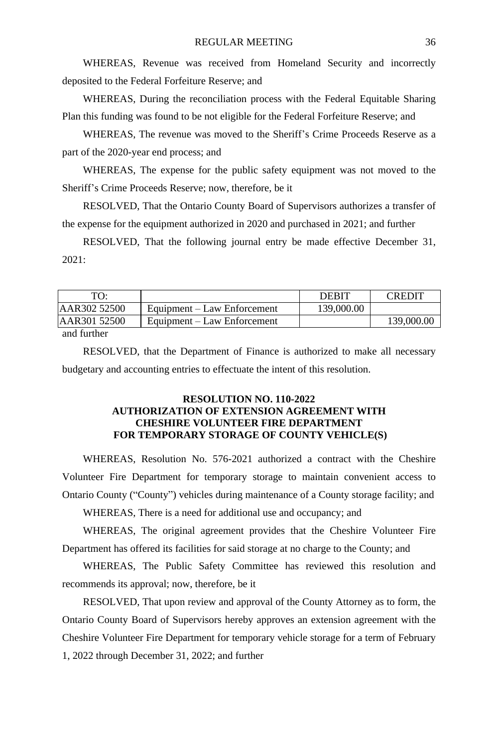WHEREAS, Revenue was received from Homeland Security and incorrectly deposited to the Federal Forfeiture Reserve; and

WHEREAS, During the reconciliation process with the Federal Equitable Sharing Plan this funding was found to be not eligible for the Federal Forfeiture Reserve; and

WHEREAS, The revenue was moved to the Sheriff's Crime Proceeds Reserve as a part of the 2020-year end process; and

WHEREAS, The expense for the public safety equipment was not moved to the Sheriff's Crime Proceeds Reserve; now, therefore, be it

RESOLVED, That the Ontario County Board of Supervisors authorizes a transfer of the expense for the equipment authorized in 2020 and purchased in 2021; and further

RESOLVED, That the following journal entry be made effective December 31,  $2021$ 

| TО:          |                             | <b>DEBIT</b> | <b>CREDIT</b> |
|--------------|-----------------------------|--------------|---------------|
| AAR302 52500 | Equipment – Law Enforcement | 139,000.00   |               |
| AAR301 52500 | Equipment – Law Enforcement |              | 139,000.00    |
| $\cdots$     |                             |              |               |

and further

RESOLVED, that the Department of Finance is authorized to make all necessary budgetary and accounting entries to effectuate the intent of this resolution.

# **RESOLUTION NO. 110-2022 AUTHORIZATION OF EXTENSION AGREEMENT WITH CHESHIRE VOLUNTEER FIRE DEPARTMENT FOR TEMPORARY STORAGE OF COUNTY VEHICLE(S)**

WHEREAS, Resolution No. 576-2021 authorized a contract with the Cheshire Volunteer Fire Department for temporary storage to maintain convenient access to Ontario County ("County") vehicles during maintenance of a County storage facility; and

WHEREAS, There is a need for additional use and occupancy; and

WHEREAS, The original agreement provides that the Cheshire Volunteer Fire Department has offered its facilities for said storage at no charge to the County; and

WHEREAS, The Public Safety Committee has reviewed this resolution and recommends its approval; now, therefore, be it

RESOLVED, That upon review and approval of the County Attorney as to form, the Ontario County Board of Supervisors hereby approves an extension agreement with the Cheshire Volunteer Fire Department for temporary vehicle storage for a term of February 1, 2022 through December 31, 2022; and further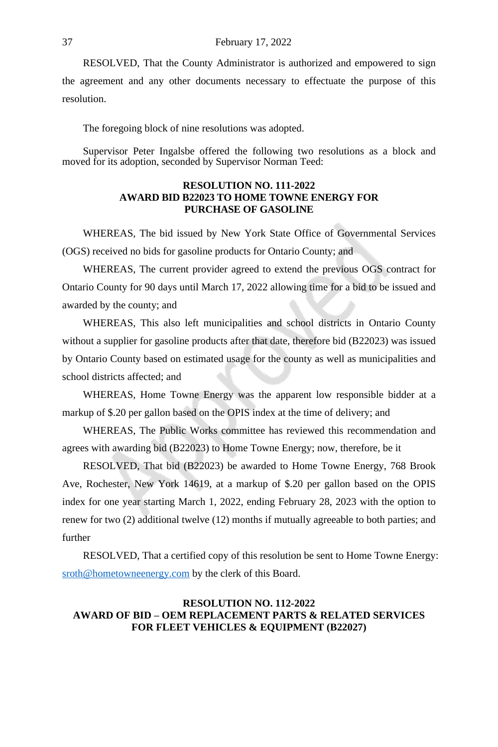#### 37 February 17, 2022

RESOLVED, That the County Administrator is authorized and empowered to sign the agreement and any other documents necessary to effectuate the purpose of this resolution.

The foregoing block of nine resolutions was adopted.

Supervisor Peter Ingalsbe offered the following two resolutions as a block and moved for its adoption, seconded by Supervisor Norman Teed:

### **RESOLUTION NO. 111-2022 AWARD BID B22023 TO HOME TOWNE ENERGY FOR PURCHASE OF GASOLINE**

WHEREAS, The bid issued by New York State Office of Governmental Services (OGS) received no bids for gasoline products for Ontario County; and

WHEREAS, The current provider agreed to extend the previous OGS contract for Ontario County for 90 days until March 17, 2022 allowing time for a bid to be issued and awarded by the county; and

WHEREAS, This also left municipalities and school districts in Ontario County without a supplier for gasoline products after that date, therefore bid (B22023) was issued by Ontario County based on estimated usage for the county as well as municipalities and school districts affected; and

WHEREAS, Home Towne Energy was the apparent low responsible bidder at a [markup of \\$.20 per gallon base](mailto:sroth@hometowneenergy.com)d on the OPIS index at the time of delivery; and

WHEREAS, The Public Works committee has reviewed this recommendation and agrees with awarding bid (B22023) to Home Towne Energy; now, therefore, be it

RESOLVED, That bid (B22023) be awarded to Home Towne Energy, 768 Brook Ave, Rochester, New York 14619, at a markup of \$.20 per gallon based on the OPIS index for one year starting March 1, 2022, ending February 28, 2023 with the option to renew for two (2) additional twelve (12) months if mutually agreeable to both parties; and further

RESOLVED, That a certified copy of this resolution be sent to Home Towne Energy: sroth@hometowneenergy.com by the clerk of this Board.

### **RESOLUTION NO. 112-2022 AWARD OF BID – OEM REPLACEMENT PARTS & RELATED SERVICES FOR FLEET VEHICLES & EQUIPMENT (B22027)**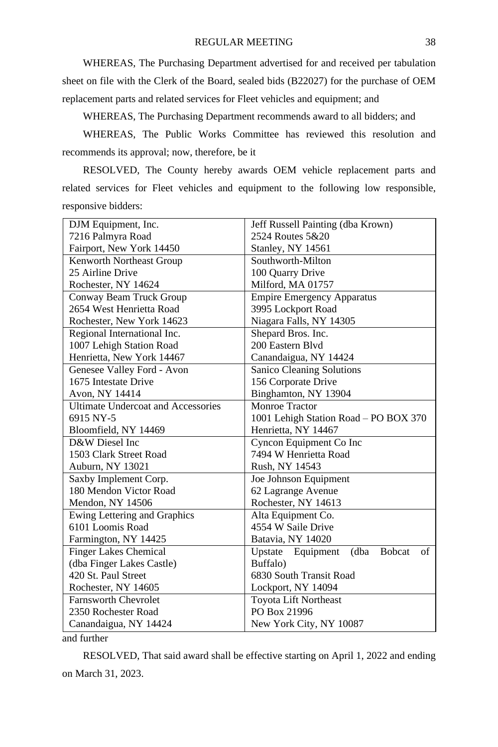WHEREAS, The Purchasing Department advertised for and received per tabulation sheet on file with the Clerk of the Board, sealed bids (B22027) for the purchase of OEM replacement parts and related services for Fleet vehicles and equipment; and

WHEREAS, The Purchasing Department recommends award to all bidders; and

WHEREAS, The Public Works Committee has reviewed this resolution and recommends its approval; now, therefore, be it

RESOLVED, The County hereby awards OEM vehicle replacement parts and related services for Fleet vehicles and equipment to the following low responsible, responsive bidders:

| DJM Equipment, Inc.                              | Jeff Russell Painting (dba Krown)                 |  |
|--------------------------------------------------|---------------------------------------------------|--|
| 7216 Palmyra Road                                | 2524 Routes 5&20                                  |  |
| Fairport, New York 14450                         | Stanley, NY 14561                                 |  |
| Kenworth Northeast Group                         | Southworth-Milton                                 |  |
| 25 Airline Drive                                 | 100 Quarry Drive                                  |  |
| Rochester, NY 14624                              | Milford, MA 01757                                 |  |
| Conway Beam Truck Group                          | <b>Empire Emergency Apparatus</b>                 |  |
| 2654 West Henrietta Road                         | 3995 Lockport Road                                |  |
| Rochester, New York 14623                        | Niagara Falls, NY 14305                           |  |
| Regional International Inc.                      | Shepard Bros. Inc.                                |  |
| 1007 Lehigh Station Road                         | 200 Eastern Blvd                                  |  |
| Henrietta, New York 14467                        | Canandaigua, NY 14424                             |  |
| Genesee Valley Ford - Avon                       | Sanico Cleaning Solutions                         |  |
| 1675 Intestate Drive                             | 156 Corporate Drive                               |  |
| Avon, NY 14414                                   | Binghamton, NY 13904                              |  |
| <b>Ultimate Undercoat and Accessories</b>        | Monroe Tractor                                    |  |
| 6915 NY-5                                        | 1001 Lehigh Station Road - PO BOX 370             |  |
| Bloomfield, NY 14469<br>Henrietta, NY 14467      |                                                   |  |
| D&W Diesel Inc                                   | Cyncon Equipment Co Inc                           |  |
| 1503 Clark Street Road                           | 7494 W Henrietta Road                             |  |
| Auburn, NY 13021                                 | Rush, NY 14543                                    |  |
| Saxby Implement Corp.                            | Joe Johnson Equipment                             |  |
| 180 Mendon Victor Road                           | 62 Lagrange Avenue                                |  |
| Mendon, NY 14506                                 | Rochester, NY 14613                               |  |
| Ewing Lettering and Graphics                     | Alta Equipment Co.                                |  |
| 6101 Loomis Road                                 | 4554 W Saile Drive                                |  |
| Farmington, NY 14425                             | Batavia, NY 14020                                 |  |
| <b>Finger Lakes Chemical</b>                     | Upstate Equipment<br>(dba)<br><b>Bobcat</b><br>of |  |
| (dba Finger Lakes Castle)                        | Buffalo)                                          |  |
| 420 St. Paul Street                              | 6830 South Transit Road                           |  |
| Rochester, NY 14605                              | Lockport, NY 14094                                |  |
| <b>Farnsworth Chevrolet</b>                      | <b>Toyota Lift Northeast</b>                      |  |
| PO Box 21996<br>2350 Rochester Road              |                                                   |  |
| New York City, NY 10087<br>Canandaigua, NY 14424 |                                                   |  |

and further

RESOLVED, That said award shall be effective starting on April 1, 2022 and ending on March 31, 2023.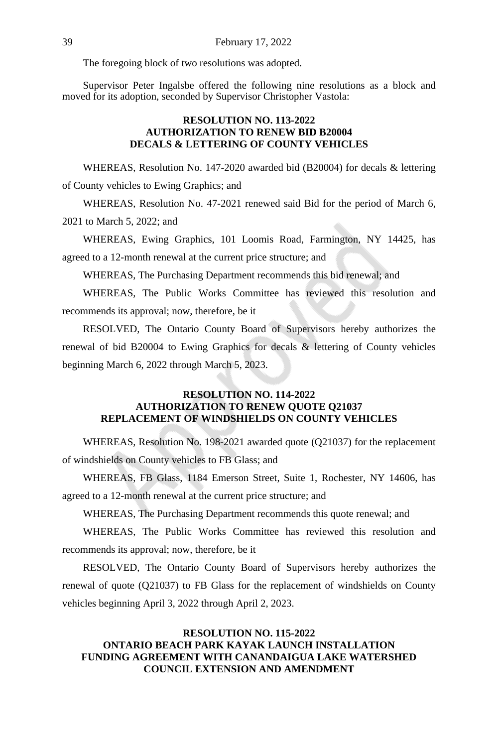The foregoing block of two resolutions was adopted.

Supervisor Peter Ingalsbe offered the following nine resolutions as a block and moved for its adoption, seconded by Supervisor Christopher Vastola:

# **RESOLUTION NO. 113-2022 AUTHORIZATION TO RENEW BID B20004 DECALS & LETTERING OF COUNTY VEHICLES**

WHEREAS, Resolution No. 147-2020 awarded bid (B20004) for decals & lettering of County vehicles to Ewing Graphics; and

WHEREAS, Resolution No. 47-2021 renewed said Bid for the period of March 6, 2021 to March 5, 2022; and

WHEREAS, Ewing Graphics, 101 Loomis Road, Farmington, NY 14425, has agreed to a 12-month renewal at the current price structure; and

WHEREAS, The Purchasing Department recommends this bid renewal; and

WHEREAS, The Public Works Committee has reviewed this resolution and recommends its approval; now, therefore, be it

RESOLVED, The Ontario County Board of Supervisors hereby authorizes the renewal of bid B20004 to Ewing Graphics for decals & lettering of County vehicles beginning March 6, 2022 through March 5, 2023.

# **RESOLUTION NO. 114-2022 AUTHORIZATION TO RENEW QUOTE Q21037 REPLACEMENT OF WINDSHIELDS ON COUNTY VEHICLES**

WHEREAS, Resolution No. 198-2021 awarded quote (Q21037) for the replacement of windshields on County vehicles to FB Glass; and

WHEREAS, FB Glass, 1184 Emerson Street, Suite 1, Rochester, NY 14606, has agreed to a 12-month renewal at the current price structure; and

WHEREAS, The Purchasing Department recommends this quote renewal; and

WHEREAS, The Public Works Committee has reviewed this resolution and recommends its approval; now, therefore, be it

RESOLVED, The Ontario County Board of Supervisors hereby authorizes the renewal of quote (Q21037) to FB Glass for the replacement of windshields on County vehicles beginning April 3, 2022 through April 2, 2023.

# **RESOLUTION NO. 115-2022 ONTARIO BEACH PARK KAYAK LAUNCH INSTALLATION FUNDING AGREEMENT WITH CANANDAIGUA LAKE WATERSHED COUNCIL EXTENSION AND AMENDMENT**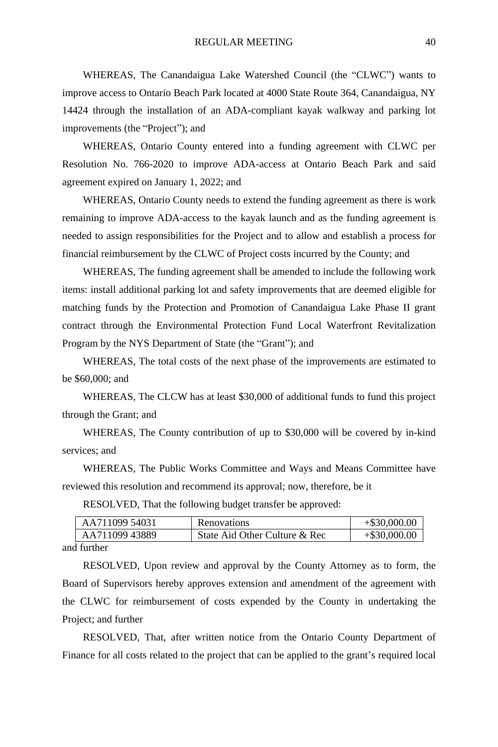WHEREAS, The Canandaigua Lake Watershed Council (the "CLWC") wants to improve access to Ontario Beach Park located at 4000 State Route 364, Canandaigua, NY 14424 through the installation of an ADA-compliant kayak walkway and parking lot improvements (the "Project"); and

WHEREAS, Ontario County entered into a funding agreement with CLWC per Resolution No. 766-2020 to improve ADA-access at Ontario Beach Park and said agreement expired on January 1, 2022; and

WHEREAS, Ontario County needs to extend the funding agreement as there is work remaining to improve ADA-access to the kayak launch and as the funding agreement is needed to assign responsibilities for the Project and to allow and establish a process for financial reimbursement by the CLWC of Project costs incurred by the County; and

WHEREAS, The funding agreement shall be amended to include the following work items: install additional parking lot and safety improvements that are deemed eligible for matching funds by the Protection and Promotion of Canandaigua Lake Phase II grant contract through the Environmental Protection Fund Local Waterfront Revitalization Program by the NYS Department of State (the "Grant"); and

WHEREAS, The total costs of the next phase of the improvements are estimated to be \$60,000; and

WHEREAS, The CLCW has at least \$30,000 of additional funds to fund this project through the Grant; and

WHEREAS, The County contribution of up to \$30,000 will be covered by in-kind services; and

WHEREAS, The Public Works Committee and Ways and Means Committee have reviewed this resolution and recommend its approval; now, therefore, be it

RESOLVED, That the following budget transfer be approved:

| AA711099 54031                    | Renovations                   | $+$ \$30,000.00 |
|-----------------------------------|-------------------------------|-----------------|
| AA71109943889                     | State Aid Other Culture & Rec | $+$ \$30,000.00 |
| $\mathbf{1}$ from $\mathbf{1}$ or |                               |                 |

and further

RESOLVED, Upon review and approval by the County Attorney as to form, the Board of Supervisors hereby approves extension and amendment of the agreement with the CLWC for reimbursement of costs expended by the County in undertaking the Project; and further

RESOLVED, That, after written notice from the Ontario County Department of Finance for all costs related to the project that can be applied to the grant's required local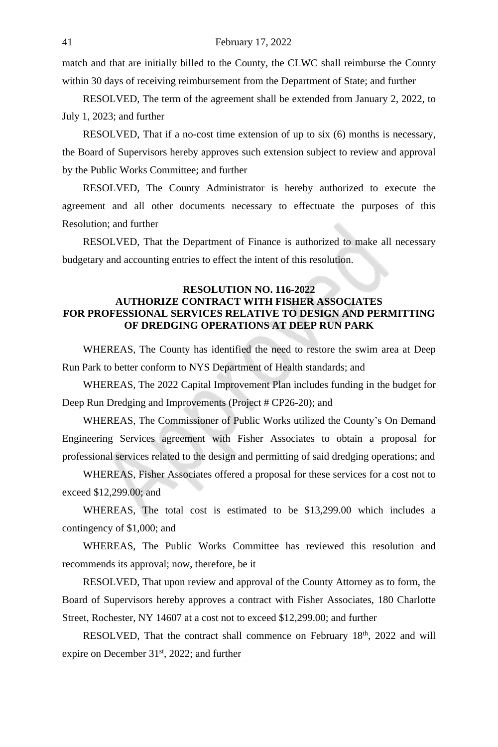match and that are initially billed to the County, the CLWC shall reimburse the County within 30 days of receiving reimbursement from the Department of State; and further

RESOLVED, The term of the agreement shall be extended from January 2, 2022, to July 1, 2023; and further

RESOLVED, That if a no-cost time extension of up to six (6) months is necessary, the Board of Supervisors hereby approves such extension subject to review and approval by the Public Works Committee; and further

RESOLVED, The County Administrator is hereby authorized to execute the agreement and all other documents necessary to effectuate the purposes of this Resolution; and further

RESOLVED, That the Department of Finance is authorized to make all necessary budgetary and accounting entries to effect the intent of this resolution.

# **RESOLUTION NO. 116-2022 AUTHORIZE CONTRACT WITH FISHER ASSOCIATES FOR PROFESSIONAL SERVICES RELATIVE TO DESIGN AND PERMITTING OF DREDGING OPERATIONS AT DEEP RUN PARK**

WHEREAS, The County has identified the need to restore the swim area at Deep Run Park to better conform to NYS Department of Health standards; and

WHEREAS, The 2022 Capital Improvement Plan includes funding in the budget for Deep Run Dredging and Improvements (Project # CP26-20); and

WHEREAS, The Commissioner of Public Works utilized the County's On Demand Engineering Services agreement with Fisher Associates to obtain a proposal for professional services related to the design and permitting of said dredging operations; and

WHEREAS, Fisher Associates offered a proposal for these services for a cost not to exceed \$12,299.00; and

WHEREAS, The total cost is estimated to be \$13,299.00 which includes a contingency of \$1,000; and

WHEREAS, The Public Works Committee has reviewed this resolution and recommends its approval; now, therefore, be it

RESOLVED, That upon review and approval of the County Attorney as to form, the Board of Supervisors hereby approves a contract with Fisher Associates, 180 Charlotte Street, Rochester, NY 14607 at a cost not to exceed \$12,299.00; and further

RESOLVED, That the contract shall commence on February 18<sup>th</sup>, 2022 and will expire on December 31<sup>st</sup>, 2022; and further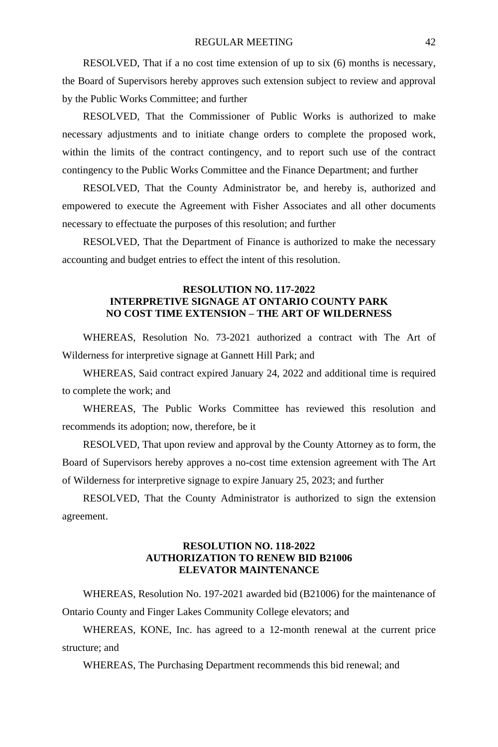RESOLVED, That if a no cost time extension of up to six (6) months is necessary, the Board of Supervisors hereby approves such extension subject to review and approval by the Public Works Committee; and further

RESOLVED, That the Commissioner of Public Works is authorized to make necessary adjustments and to initiate change orders to complete the proposed work, within the limits of the contract contingency, and to report such use of the contract contingency to the Public Works Committee and the Finance Department; and further

RESOLVED, That the County Administrator be, and hereby is, authorized and empowered to execute the Agreement with Fisher Associates and all other documents necessary to effectuate the purposes of this resolution; and further

RESOLVED, That the Department of Finance is authorized to make the necessary accounting and budget entries to effect the intent of this resolution.

## **RESOLUTION NO. 117-2022 INTERPRETIVE SIGNAGE AT ONTARIO COUNTY PARK NO COST TIME EXTENSION – THE ART OF WILDERNESS**

WHEREAS, Resolution No. 73-2021 authorized a contract with The Art of Wilderness for interpretive signage at Gannett Hill Park; and

WHEREAS, Said contract expired January 24, 2022 and additional time is required to complete the work; and

WHEREAS, The Public Works Committee has reviewed this resolution and recommends its adoption; now, therefore, be it

RESOLVED, That upon review and approval by the County Attorney as to form, the Board of Supervisors hereby approves a no-cost time extension agreement with The Art of Wilderness for interpretive signage to expire January 25, 2023; and further

RESOLVED, That the County Administrator is authorized to sign the extension agreement.

### **RESOLUTION NO. 118-2022 AUTHORIZATION TO RENEW BID B21006 ELEVATOR MAINTENANCE**

WHEREAS, Resolution No. 197-2021 awarded bid (B21006) for the maintenance of Ontario County and Finger Lakes Community College elevators; and

WHEREAS, KONE, Inc. has agreed to a 12-month renewal at the current price structure; and

WHEREAS, The Purchasing Department recommends this bid renewal; and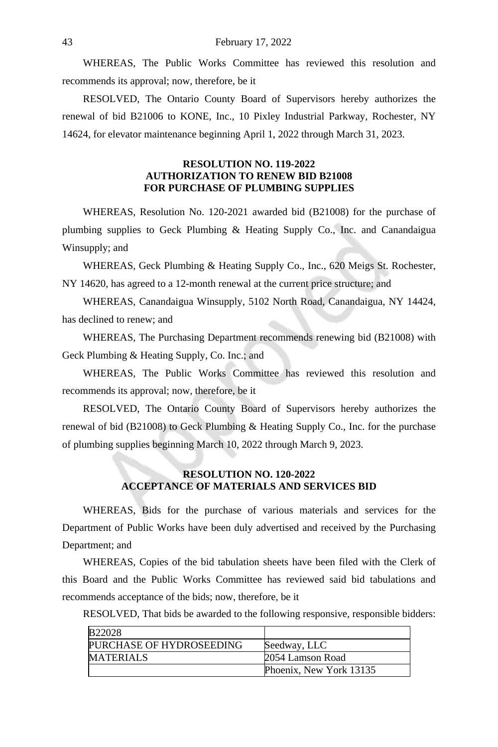WHEREAS, The Public Works Committee has reviewed this resolution and recommends its approval; now, therefore, be it

RESOLVED, The Ontario County Board of Supervisors hereby authorizes the renewal of bid B21006 to KONE, Inc., 10 Pixley Industrial Parkway, Rochester, NY 14624, for elevator maintenance beginning April 1, 2022 through March 31, 2023.

### **RESOLUTION NO. 119-2022 AUTHORIZATION TO RENEW BID B21008 FOR PURCHASE OF PLUMBING SUPPLIES**

WHEREAS, Resolution No. 120-2021 awarded bid (B21008) for the purchase of plumbing supplies to Geck Plumbing & Heating Supply Co., Inc. and Canandaigua Winsupply; and

WHEREAS, Geck Plumbing & Heating Supply Co., Inc., 620 Meigs St. Rochester, NY 14620, has agreed to a 12-month renewal at the current price structure; and

WHEREAS, Canandaigua Winsupply, 5102 North Road, Canandaigua, NY 14424, has declined to renew; and

WHEREAS, The Purchasing Department recommends renewing bid (B21008) with Geck Plumbing & Heating Supply, Co. Inc.; and

WHEREAS, The Public Works Committee has reviewed this resolution and recommends its approval; now, therefore, be it

RESOLVED, The Ontario County Board of Supervisors hereby authorizes the renewal of bid (B21008) to Geck Plumbing & Heating Supply Co., Inc. for the purchase of plumbing supplies beginning March 10, 2022 through March 9, 2023.

# **RESOLUTION NO. 120-2022 ACCEPTANCE OF MATERIALS AND SERVICES BID**

WHEREAS, Bids for the purchase of various materials and services for the Department of Public Works have been duly advertised and received by the Purchasing Department; and

WHEREAS, Copies of the bid tabulation sheets have been filed with the Clerk of this Board and the Public Works Committee has reviewed said bid tabulations and recommends acceptance of the bids; now, therefore, be it

RESOLVED, That bids be awarded to the following responsive, responsible bidders:

| <b>B22028</b>            |                         |
|--------------------------|-------------------------|
| PURCHASE OF HYDROSEEDING | Seedway, LLC            |
| <b>MATERIALS</b>         | 2054 Lamson Road        |
|                          | Phoenix, New York 13135 |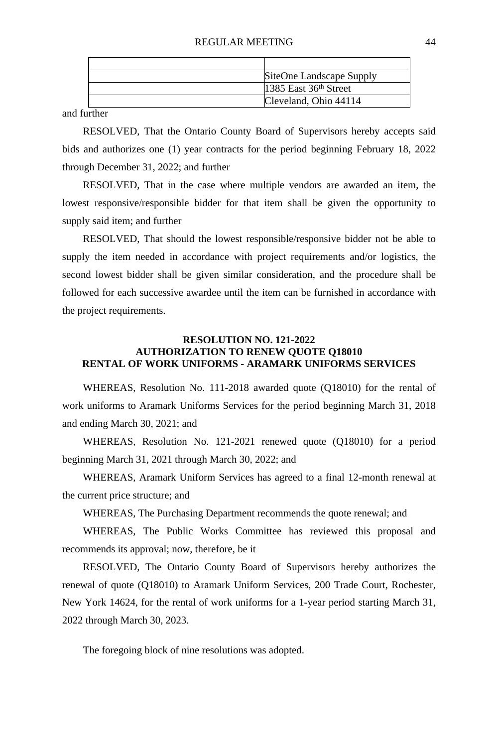| SiteOne Landscape Supply |
|--------------------------|
| 1385 East $36th$ Street  |
| Cleveland, Ohio 44114    |

and further

RESOLVED, That the Ontario County Board of Supervisors hereby accepts said bids and authorizes one (1) year contracts for the period beginning February 18, 2022 through December 31, 2022; and further

RESOLVED, That in the case where multiple vendors are awarded an item, the lowest responsive/responsible bidder for that item shall be given the opportunity to supply said item; and further

RESOLVED, That should the lowest responsible/responsive bidder not be able to supply the item needed in accordance with project requirements and/or logistics, the second lowest bidder shall be given similar consideration, and the procedure shall be followed for each successive awardee until the item can be furnished in accordance with the project requirements.

### **RESOLUTION NO. 121-2022 AUTHORIZATION TO RENEW QUOTE Q18010 RENTAL OF WORK UNIFORMS - ARAMARK UNIFORMS SERVICES**

WHEREAS, Resolution No. 111-2018 awarded quote (Q18010) for the rental of work uniforms to Aramark Uniforms Services for the period beginning March 31, 2018 and ending March 30, 2021; and

WHEREAS, Resolution No. 121-2021 renewed quote (Q18010) for a period beginning March 31, 2021 through March 30, 2022; and

WHEREAS, Aramark Uniform Services has agreed to a final 12-month renewal at the current price structure; and

WHEREAS, The Purchasing Department recommends the quote renewal; and

WHEREAS, The Public Works Committee has reviewed this proposal and recommends its approval; now, therefore, be it

RESOLVED, The Ontario County Board of Supervisors hereby authorizes the renewal of quote (Q18010) to Aramark Uniform Services, 200 Trade Court, Rochester, New York 14624, for the rental of work uniforms for a 1-year period starting March 31, 2022 through March 30, 2023.

The foregoing block of nine resolutions was adopted.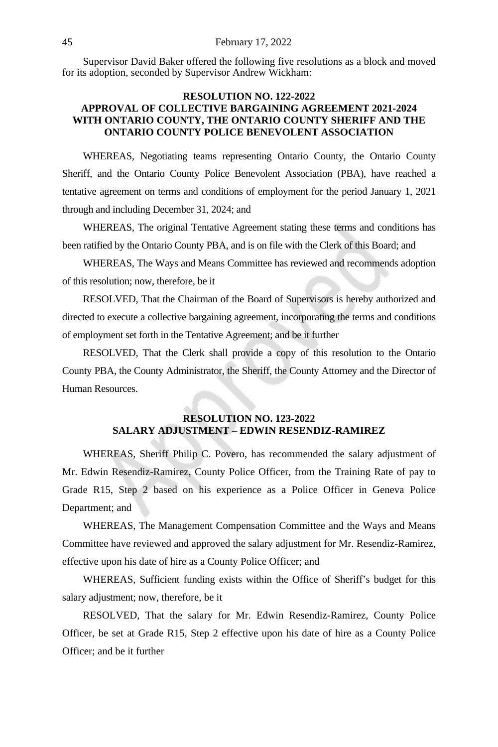Supervisor David Baker offered the following five resolutions as a block and moved for its adoption, seconded by Supervisor Andrew Wickham:

# **RESOLUTION NO. 122-2022 APPROVAL OF COLLECTIVE BARGAINING AGREEMENT 2021-2024 WITH ONTARIO COUNTY, THE ONTARIO COUNTY SHERIFF AND THE ONTARIO COUNTY POLICE BENEVOLENT ASSOCIATION**

WHEREAS, Negotiating teams representing Ontario County, the Ontario County Sheriff, and the Ontario County Police Benevolent Association (PBA), have reached a tentative agreement on terms and conditions of employment for the period January 1, 2021 through and including December 31, 2024; and

WHEREAS, The original Tentative Agreement stating these terms and conditions has been ratified by the Ontario County PBA, and is on file with the Clerk of this Board; and

WHEREAS, The Ways and Means Committee has reviewed and recommends adoption of this resolution; now, therefore, be it

RESOLVED, That the Chairman of the Board of Supervisors is hereby authorized and directed to execute a collective bargaining agreement, incorporating the terms and conditions of employment set forth in the Tentative Agreement; and be it further

RESOLVED, That the Clerk shall provide a copy of this resolution to the Ontario County PBA, the County Administrator, the Sheriff, the County Attorney and the Director of Human Resources.

# **RESOLUTION NO. 123-2022 SALARY ADJUSTMENT – EDWIN RESENDIZ-RAMIREZ**

WHEREAS, Sheriff Philip C. Povero, has recommended the salary adjustment of Mr. Edwin Resendiz-Ramirez, County Police Officer, from the Training Rate of pay to Grade R15, Step 2 based on his experience as a Police Officer in Geneva Police Department; and

WHEREAS, The Management Compensation Committee and the Ways and Means Committee have reviewed and approved the salary adjustment for Mr. Resendiz-Ramirez, effective upon his date of hire as a County Police Officer; and

WHEREAS, Sufficient funding exists within the Office of Sheriff's budget for this salary adjustment; now, therefore, be it

RESOLVED, That the salary for Mr. Edwin Resendiz-Ramirez, County Police Officer, be set at Grade R15, Step 2 effective upon his date of hire as a County Police Officer; and be it further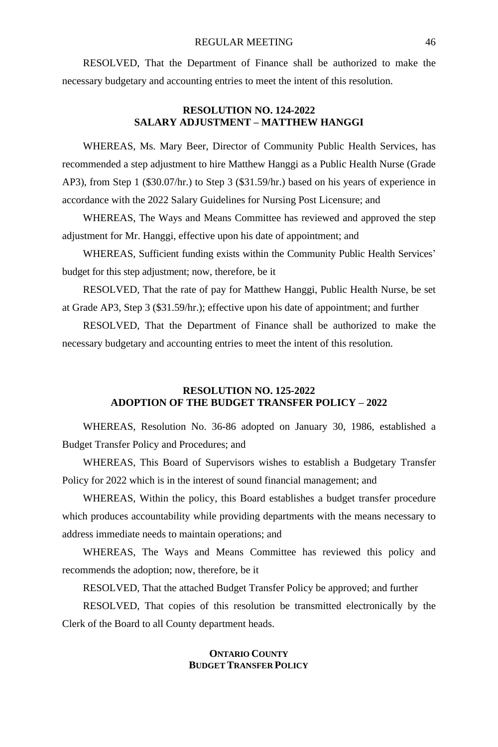RESOLVED, That the Department of Finance shall be authorized to make the necessary budgetary and accounting entries to meet the intent of this resolution.

# **RESOLUTION NO. 124-2022 SALARY ADJUSTMENT – MATTHEW HANGGI**

WHEREAS, Ms. Mary Beer, Director of Community Public Health Services, has recommended a step adjustment to hire Matthew Hanggi as a Public Health Nurse (Grade AP3), from Step 1 (\$30.07/hr.) to Step 3 (\$31.59/hr.) based on his years of experience in accordance with the 2022 Salary Guidelines for Nursing Post Licensure; and

WHEREAS, The Ways and Means Committee has reviewed and approved the step adjustment for Mr. Hanggi, effective upon his date of appointment; and

WHEREAS, Sufficient funding exists within the Community Public Health Services' budget for this step adjustment; now, therefore, be it

RESOLVED, That the rate of pay for Matthew Hanggi, Public Health Nurse, be set at Grade AP3, Step 3 (\$31.59/hr.); effective upon his date of appointment; and further

RESOLVED, That the Department of Finance shall be authorized to make the necessary budgetary and accounting entries to meet the intent of this resolution.

# **RESOLUTION NO. 125-2022 ADOPTION OF THE BUDGET TRANSFER POLICY – 2022**

WHEREAS, Resolution No. 36-86 adopted on January 30, 1986, established a Budget Transfer Policy and Procedures; and

WHEREAS, This Board of Supervisors wishes to establish a Budgetary Transfer Policy for 2022 which is in the interest of sound financial management; and

WHEREAS, Within the policy, this Board establishes a budget transfer procedure which produces accountability while providing departments with the means necessary to address immediate needs to maintain operations; and

WHEREAS, The Ways and Means Committee has reviewed this policy and recommends the adoption; now, therefore, be it

RESOLVED, That the attached Budget Transfer Policy be approved; and further

RESOLVED, That copies of this resolution be transmitted electronically by the Clerk of the Board to all County department heads.

# **ONTARIO COUNTY BUDGET TRANSFER POLICY**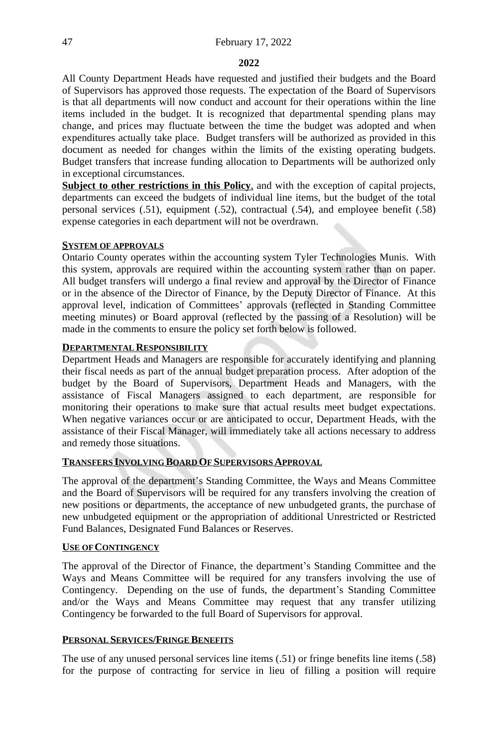#### **2022**

All County Department Heads have requested and justified their budgets and the Board of Supervisors has approved those requests. The expectation of the Board of Supervisors is that all departments will now conduct and account for their operations within the line items included in the budget. It is recognized that departmental spending plans may change, and prices may fluctuate between the time the budget was adopted and when expenditures actually take place. Budget transfers will be authorized as provided in this document as needed for changes within the limits of the existing operating budgets. Budget transfers that increase funding allocation to Departments will be authorized only in exceptional circumstances.

**Subject to other restrictions in this Policy**, and with the exception of capital projects, departments can exceed the budgets of individual line items, but the budget of the total personal services (.51), equipment (.52), contractual (.54), and employee benefit (.58) expense categories in each department will not be overdrawn.

#### **SYSTEM OF APPROVALS**

Ontario County operates within the accounting system Tyler Technologies Munis. With this system, approvals are required within the accounting system rather than on paper. All budget transfers will undergo a final review and approval by the Director of Finance or in the absence of the Director of Finance, by the Deputy Director of Finance. At this approval level, indication of Committees' approvals (reflected in Standing Committee meeting minutes) or Board approval (reflected by the passing of a Resolution) will be made in the comments to ensure the policy set forth below is followed.

#### **DEPARTMENTAL RESPONSIBILITY**

Department Heads and Managers are responsible for accurately identifying and planning their fiscal needs as part of the annual budget preparation process. After adoption of the budget by the Board of Supervisors, Department Heads and Managers, with the assistance of Fiscal Managers assigned to each department, are responsible for monitoring their operations to make sure that actual results meet budget expectations. When negative variances occur or are anticipated to occur, Department Heads, with the assistance of their Fiscal Manager, will immediately take all actions necessary to address and remedy those situations.

# **TRANSFERS INVOLVING BOARD OF SUPERVISORS APPROVAL**

The approval of the department's Standing Committee, the Ways and Means Committee and the Board of Supervisors will be required for any transfers involving the creation of new positions or departments, the acceptance of new unbudgeted grants, the purchase of new unbudgeted equipment or the appropriation of additional Unrestricted or Restricted Fund Balances, Designated Fund Balances or Reserves.

#### **USE OF CONTINGENCY**

The approval of the Director of Finance, the department's Standing Committee and the Ways and Means Committee will be required for any transfers involving the use of Contingency. Depending on the use of funds, the department's Standing Committee and/or the Ways and Means Committee may request that any transfer utilizing Contingency be forwarded to the full Board of Supervisors for approval.

#### **PERSONAL SERVICES/FRINGE BENEFITS**

The use of any unused personal services line items (.51) or fringe benefits line items (.58) for the purpose of contracting for service in lieu of filling a position will require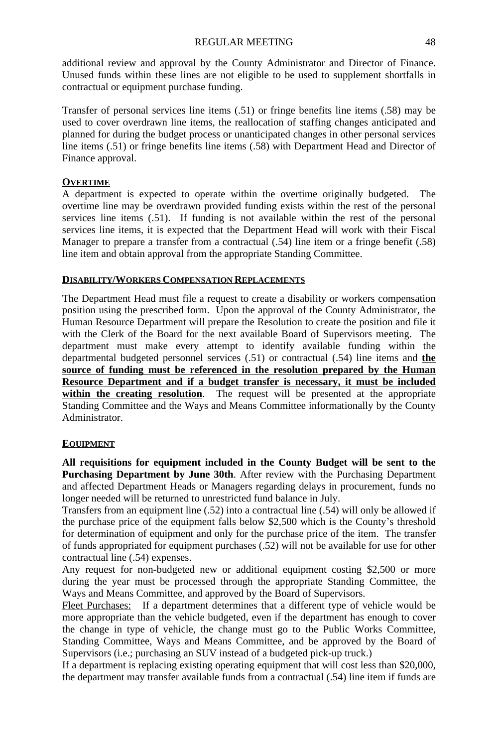additional review and approval by the County Administrator and Director of Finance. Unused funds within these lines are not eligible to be used to supplement shortfalls in contractual or equipment purchase funding.

Transfer of personal services line items (.51) or fringe benefits line items (.58) may be used to cover overdrawn line items, the reallocation of staffing changes anticipated and planned for during the budget process or unanticipated changes in other personal services line items (.51) or fringe benefits line items (.58) with Department Head and Director of Finance approval.

# **OVERTIME**

A department is expected to operate within the overtime originally budgeted. The overtime line may be overdrawn provided funding exists within the rest of the personal services line items (.51). If funding is not available within the rest of the personal services line items, it is expected that the Department Head will work with their Fiscal Manager to prepare a transfer from a contractual (.54) line item or a fringe benefit (.58) line item and obtain approval from the appropriate Standing Committee.

# **DISABILITY/WORKERS COMPENSATION REPLACEMENTS**

The Department Head must file a request to create a disability or workers compensation position using the prescribed form. Upon the approval of the County Administrator, the Human Resource Department will prepare the Resolution to create the position and file it with the Clerk of the Board for the next available Board of Supervisors meeting. The department must make every attempt to identify available funding within the departmental budgeted personnel services (.51) or contractual (.54) line items and **the source of funding must be referenced in the resolution prepared by the Human Resource Department and if a budget transfer is necessary, it must be included within the creating resolution**. The request will be presented at the appropriate Standing Committee and the Ways and Means Committee informationally by the County Administrator.

# **EQUIPMENT**

**All requisitions for equipment included in the County Budget will be sent to the Purchasing Department by June 30th**. After review with the Purchasing Department and affected Department Heads or Managers regarding delays in procurement, funds no longer needed will be returned to unrestricted fund balance in July.

Transfers from an equipment line (.52) into a contractual line (.54) will only be allowed if the purchase price of the equipment falls below \$2,500 which is the County's threshold for determination of equipment and only for the purchase price of the item. The transfer of funds appropriated for equipment purchases (.52) will not be available for use for other contractual line (.54) expenses.

Any request for non-budgeted new or additional equipment costing \$2,500 or more during the year must be processed through the appropriate Standing Committee, the Ways and Means Committee, and approved by the Board of Supervisors.

Fleet Purchases: If a department determines that a different type of vehicle would be more appropriate than the vehicle budgeted, even if the department has enough to cover the change in type of vehicle, the change must go to the Public Works Committee, Standing Committee, Ways and Means Committee, and be approved by the Board of Supervisors (i.e.; purchasing an SUV instead of a budgeted pick-up truck.)

If a department is replacing existing operating equipment that will cost less than \$20,000, the department may transfer available funds from a contractual (.54) line item if funds are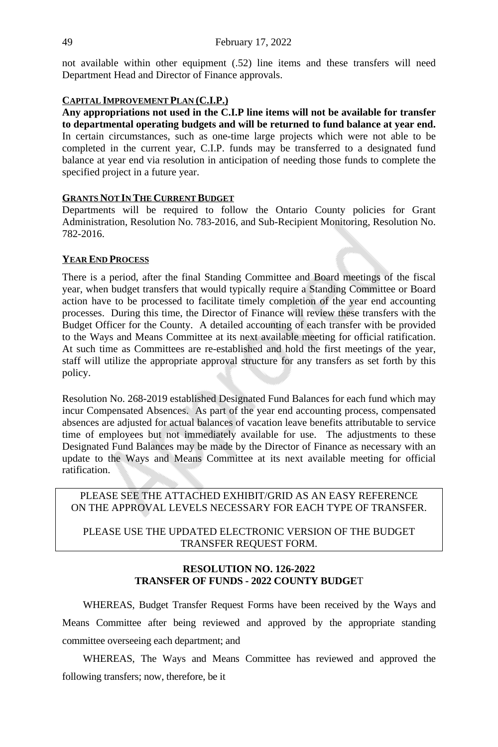not available within other equipment (.52) line items and these transfers will need Department Head and Director of Finance approvals.

#### **CAPITAL IMPROVEMENT PLAN (C.I.P.)**

**Any appropriations not used in the C.I.P line items will not be available for transfer to departmental operating budgets and will be returned to fund balance at year end.** In certain circumstances, such as one-time large projects which were not able to be completed in the current year, C.I.P. funds may be transferred to a designated fund balance at year end via resolution in anticipation of needing those funds to complete the specified project in a future year.

# **GRANTS NOT IN THE CURRENT BUDGET**

Departments will be required to follow the Ontario County policies for Grant Administration, Resolution No. 783-2016, and Sub-Recipient Monitoring, Resolution No. 782-2016.

# **YEAR END PROCESS**

There is a period, after the final Standing Committee and Board meetings of the fiscal year, when budget transfers that would typically require a Standing Committee or Board action have to be processed to facilitate timely completion of the year end accounting processes. During this time, the Director of Finance will review these transfers with the Budget Officer for the County. A detailed accounting of each transfer with be provided to the Ways and Means Committee at its next available meeting for official ratification. At such time as Committees are re-established and hold the first meetings of the year, staff will utilize the appropriate approval structure for any transfers as set forth by this policy.

Resolution No. 268-2019 established Designated Fund Balances for each fund which may incur Compensated Absences. As part of the year end accounting process, compensated absences are adjusted for actual balances of vacation leave benefits attributable to service time of employees but not immediately available for use. The adjustments to these Designated Fund Balances may be made by the Director of Finance as necessary with an update to the Ways and Means Committee at its next available meeting for official ratification.

### PLEASE SEE THE ATTACHED EXHIBIT/GRID AS AN EASY REFERENCE ON THE APPROVAL LEVELS NECESSARY FOR EACH TYPE OF TRANSFER.

# PLEASE USE THE UPDATED ELECTRONIC VERSION OF THE BUDGET TRANSFER REQUEST FORM.

#### **RESOLUTION NO. 126-2022 TRANSFER OF FUNDS - 2022 COUNTY BUDGE**T

WHEREAS, Budget Transfer Request Forms have been received by the Ways and Means Committee after being reviewed and approved by the appropriate standing committee overseeing each department; and

WHEREAS, The Ways and Means Committee has reviewed and approved the following transfers; now, therefore, be it